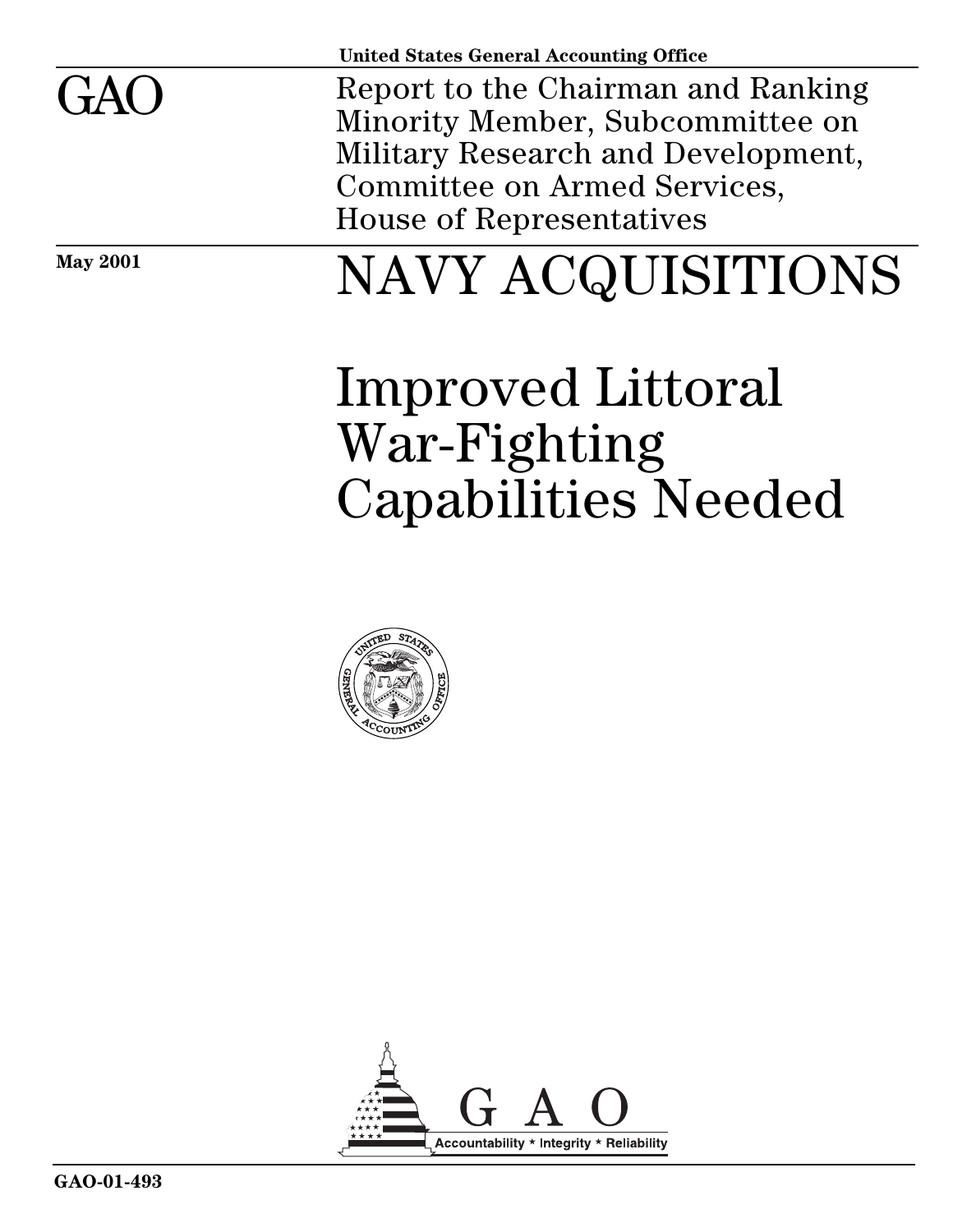| <b>May 2001</b> | NAVY ACQUISITIONS                                                                                                                                                                      |
|-----------------|----------------------------------------------------------------------------------------------------------------------------------------------------------------------------------------|
| GAO             | Report to the Chairman and Ranking<br>Minority Member, Subcommittee on<br>Military Research and Development,<br><b>Committee on Armed Services,</b><br><b>House of Representatives</b> |
|                 | <b>United States General Accounting Office</b>                                                                                                                                         |

# Improved Littoral War-Fighting Capabilities Needed



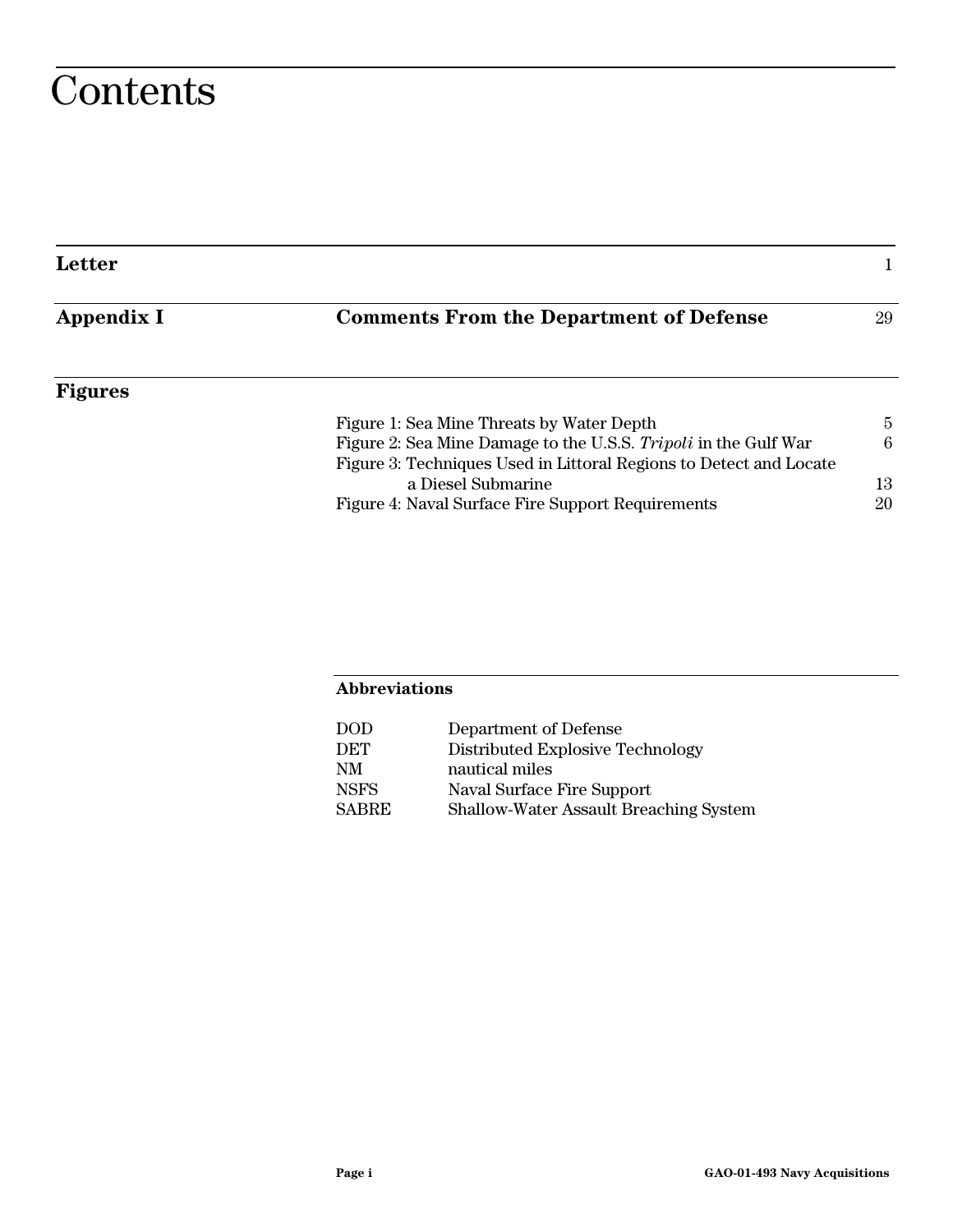# **Contents**

| Letter         |                                                                    |    |
|----------------|--------------------------------------------------------------------|----|
| Appendix I     | <b>Comments From the Department of Defense</b>                     | 29 |
| <b>Figures</b> |                                                                    |    |
|                | Figure 1: Sea Mine Threats by Water Depth                          | 5  |
|                | Figure 2: Sea Mine Damage to the U.S.S. Tripoli in the Gulf War    | 6  |
|                | Figure 3: Techniques Used in Littoral Regions to Detect and Locate |    |
|                | a Diesel Submarine                                                 | 13 |
|                | Figure 4: Naval Surface Fire Support Requirements                  | 20 |
|                |                                                                    |    |

#### **Abbreviations**

| $\rm{DOD}$ | Department of Defense                         |
|------------|-----------------------------------------------|
| DET        | Distributed Explosive Technology              |
| NΜ         | nautical miles                                |
| NSFS       | Naval Surface Fire Support                    |
| SABRE      | <b>Shallow-Water Assault Breaching System</b> |
|            |                                               |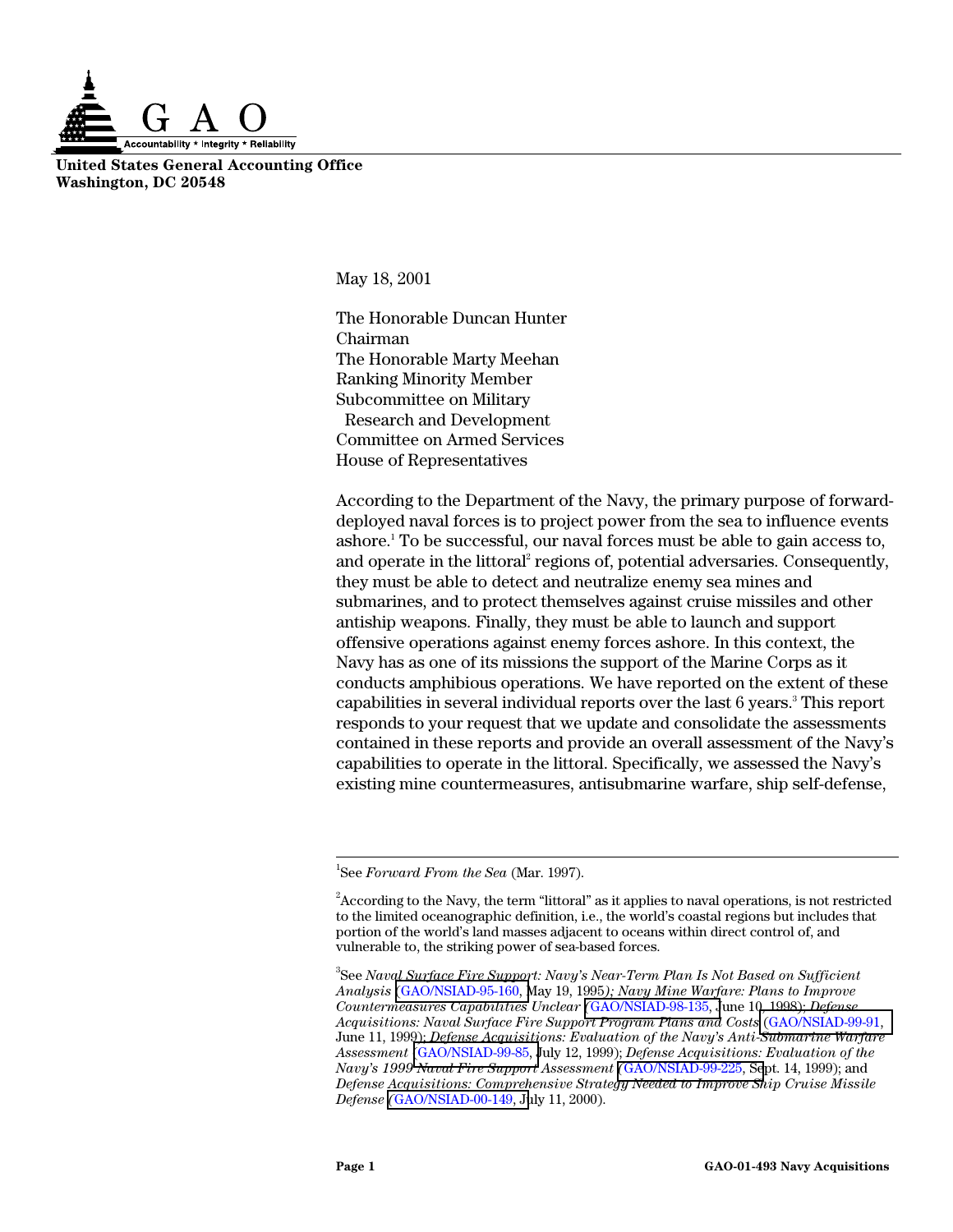

**United States General Accounting Office Washington, DC 20548**

May 18, 2001

The Honorable Duncan Hunter Chairman The Honorable Marty Meehan Ranking Minority Member Subcommittee on Military Research and Development Committee on Armed Services House of Representatives

According to the Department of the Navy, the primary purpose of forwarddeployed naval forces is to project power from the sea to influence events ashore.<sup>1</sup> To be successful, our naval forces must be able to gain access to, and operate in the littoral<sup>2</sup> regions of, potential adversaries. Consequently, they must be able to detect and neutralize enemy sea mines and submarines, and to protect themselves against cruise missiles and other antiship weapons. Finally, they must be able to launch and support offensive operations against enemy forces ashore. In this context, the Navy has as one of its missions the support of the Marine Corps as it conducts amphibious operations. We have reported on the extent of these capabilities in several individual reports over the last 6 years.<sup>3</sup> This report responds to your request that we update and consolidate the assessments contained in these reports and provide an overall assessment of the Navy's capabilities to operate in the littoral. Specifically, we assessed the Navy's existing mine countermeasures, antisubmarine warfare, ship self-defense,

 $\frac{1}{1}$ See *Forward From the Sea* (Mar. 1997).

 $\rm ^2$ According to the Navy, the term "littoral" as it applies to naval operations, is not restricted to the limited oceanographic definition, i.e., the world's coastal regions but includes that portion of the world's land masses adjacent to oceans within direct control of, and vulnerable to, the striking power of sea-based forces.

<sup>3</sup> See *Naval Surface Fire Support: Navy's Near-Term Plan Is Not Based on Sufficient Analysis* [\(GAO/NSIAD-95-160, M](http://www.gao.gov/cgi-bin/getrpt?GAO/NSIAD-95-160)ay 19, 1995*); Navy Mine Warfare: Plans to Improve Countermeasures Capabilities Unclear (*[GAO/NSIAD-98-135, J](http://www.gao.gov/cgi-bin/getrpt?GAO/NSIAD-98-135)une 10, 1998); *Defense Acquisitions: Naval Surface Fire Support Program Plans and Costs* [\(GAO/NSIAD-99-91,](http://www.gao.gov/cgi-bin/getrpt?GAO/NSIAD-99-91) June 11, 1999); *Defense Acquisitions: Evaluation of the Navy's Anti-Submarine Warfare Assessment* [\(GAO/NSIAD-99-85, J](http://www.gao.gov/cgi-bin/getrpt?GAO/NSIAD-99-85)uly 12, 1999); *Defense Acquisitions: Evaluation of the Navy's 1999 Naval Fire Support Assessment (*[GAO/NSIAD-99-225, Se](http://www.gao.gov/cgi-bin/getrpt?GAO/NSIAD-99-225)pt. 14, 1999); and *Defense Acquisitions: Comprehensive Strategy Needed to Improve Ship Cruise Missile Defense (*[GAO/NSIAD-00-149, Ju](http://www.gao.gov/cgi-bin/getrpt?GAO/NSIAD-00-149)ly 11, 2000).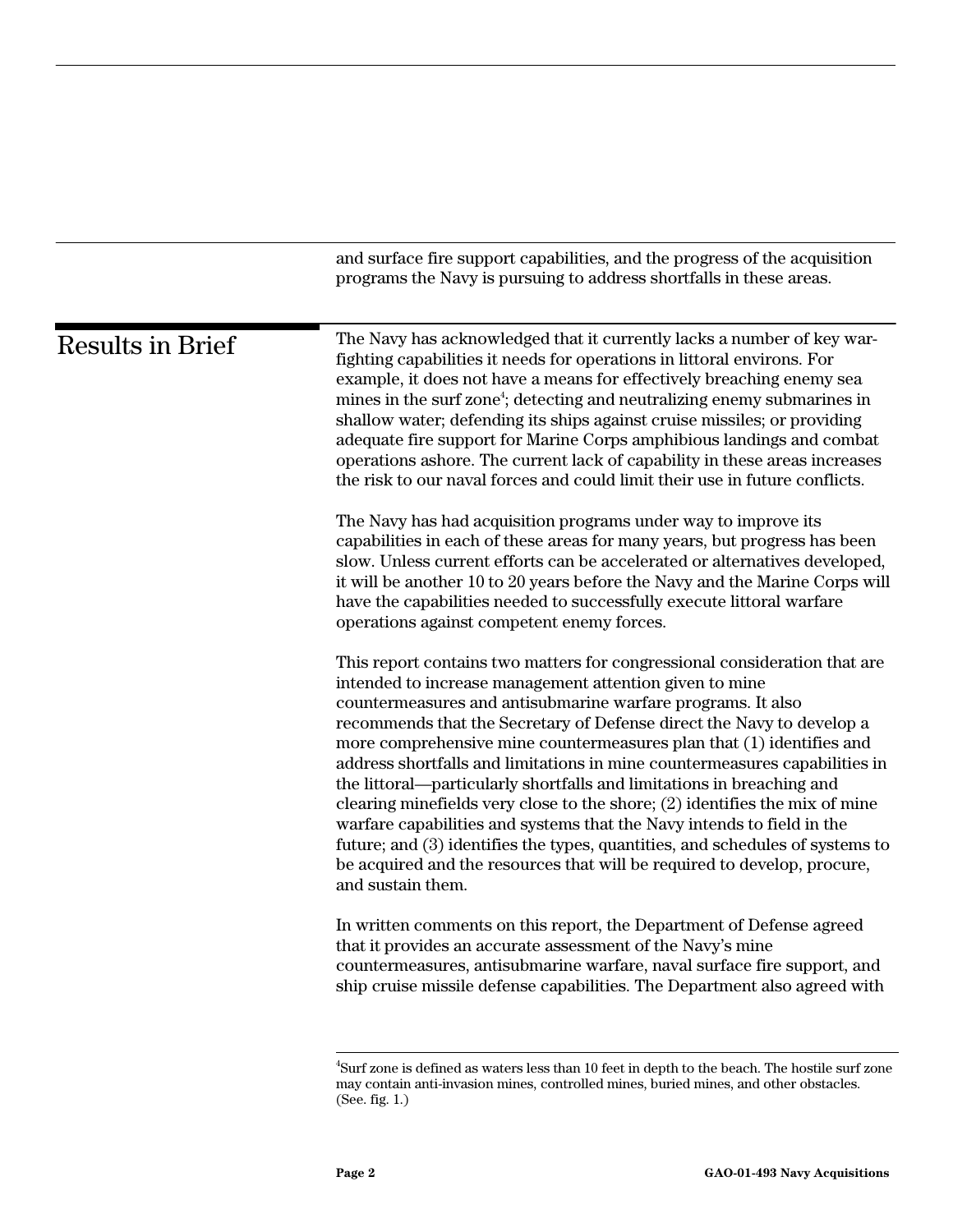|                         | and surface fire support capabilities, and the progress of the acquisition<br>programs the Navy is pursuing to address shortfalls in these areas.                                                                                                                                                                                                                                                                                                                                                                                                                                                                                                                                                                                                                                                                                                        |
|-------------------------|----------------------------------------------------------------------------------------------------------------------------------------------------------------------------------------------------------------------------------------------------------------------------------------------------------------------------------------------------------------------------------------------------------------------------------------------------------------------------------------------------------------------------------------------------------------------------------------------------------------------------------------------------------------------------------------------------------------------------------------------------------------------------------------------------------------------------------------------------------|
| <b>Results in Brief</b> | The Navy has acknowledged that it currently lacks a number of key war-<br>fighting capabilities it needs for operations in littoral environs. For<br>example, it does not have a means for effectively breaching enemy sea<br>mines in the surf zone <sup>4</sup> ; detecting and neutralizing enemy submarines in<br>shallow water; defending its ships against cruise missiles; or providing<br>adequate fire support for Marine Corps amphibious landings and combat<br>operations ashore. The current lack of capability in these areas increases<br>the risk to our naval forces and could limit their use in future conflicts.                                                                                                                                                                                                                     |
|                         | The Navy has had acquisition programs under way to improve its<br>capabilities in each of these areas for many years, but progress has been<br>slow. Unless current efforts can be accelerated or alternatives developed,<br>it will be another 10 to 20 years before the Navy and the Marine Corps will<br>have the capabilities needed to successfully execute littoral warfare<br>operations against competent enemy forces.                                                                                                                                                                                                                                                                                                                                                                                                                          |
|                         | This report contains two matters for congressional consideration that are<br>intended to increase management attention given to mine<br>countermeasures and antisubmarine warfare programs. It also<br>recommends that the Secretary of Defense direct the Navy to develop a<br>more comprehensive mine countermeasures plan that (1) identifies and<br>address shortfalls and limitations in mine countermeasures capabilities in<br>the littoral—particularly shortfalls and limitations in breaching and<br>clearing minefields very close to the shore; $(2)$ identifies the mix of mine<br>warfare capabilities and systems that the Navy intends to field in the<br>future; and (3) identifies the types, quantities, and schedules of systems to<br>be acquired and the resources that will be required to develop, procure,<br>and sustain them. |
|                         | In written comments on this report, the Department of Defense agreed<br>that it provides an accurate assessment of the Navy's mine<br>countermeasures, antisubmarine warfare, naval surface fire support, and<br>ship cruise missile defense capabilities. The Department also agreed with                                                                                                                                                                                                                                                                                                                                                                                                                                                                                                                                                               |
|                         |                                                                                                                                                                                                                                                                                                                                                                                                                                                                                                                                                                                                                                                                                                                                                                                                                                                          |

 <sup>4</sup>  ${\rm ^4 Surf}$  zone is defined as waters less than 10 feet in depth to the beach. The hostile surf zone may contain anti-invasion mines, controlled mines, buried mines, and other obstacles. (See. fig. 1.)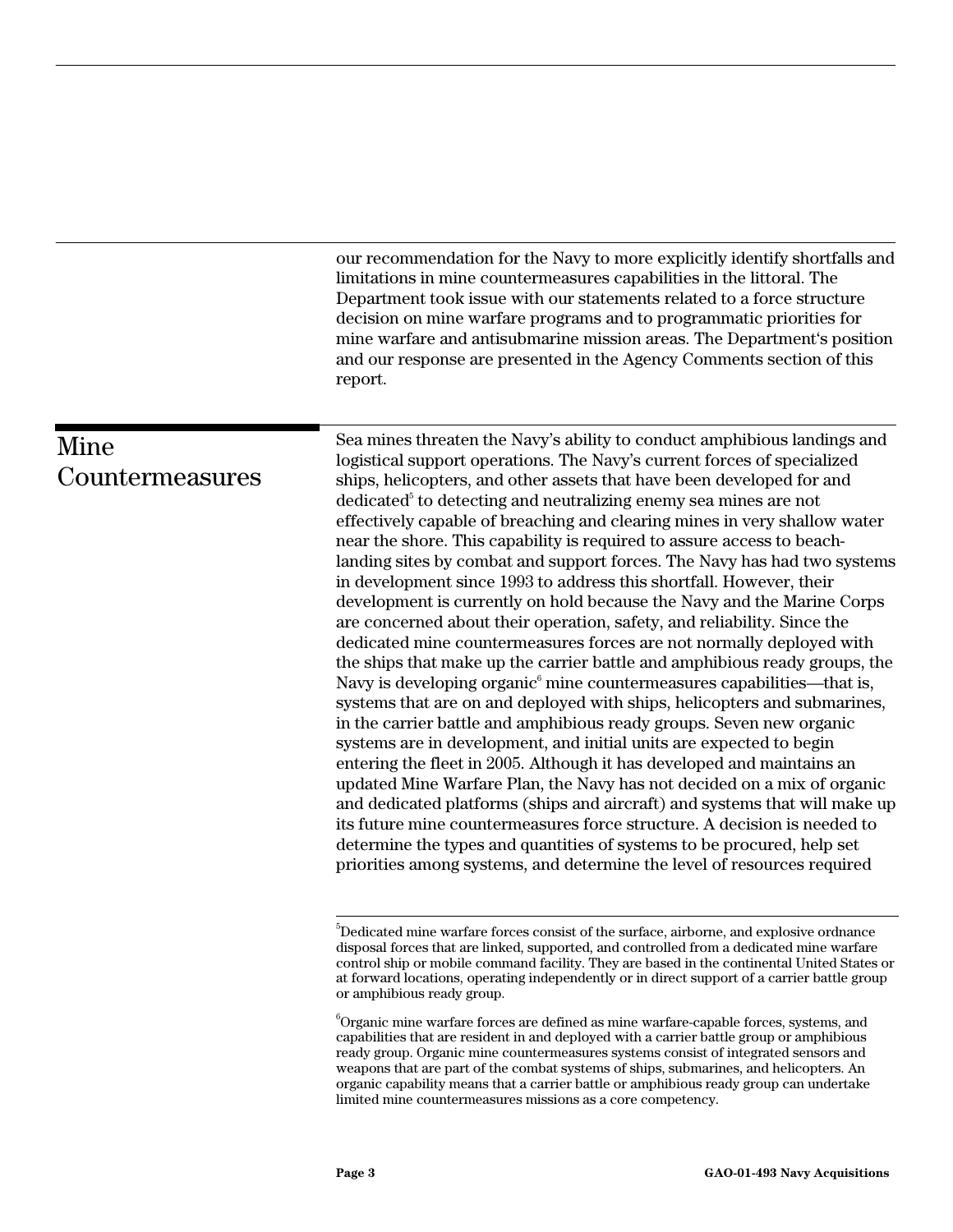our recommendation for the Navy to more explicitly identify shortfalls and limitations in mine countermeasures capabilities in the littoral. The Department took issue with our statements related to a force structure decision on mine warfare programs and to programmatic priorities for mine warfare and antisubmarine mission areas. The Department's position and our response are presented in the Agency Comments section of this report.

## Mine Countermeasures

Sea mines threaten the Navy's ability to conduct amphibious landings and logistical support operations. The Navy's current forces of specialized ships, helicopters, and other assets that have been developed for and  $\rm{dedicated}^{\rm{s}}$  to  $\rm{detecting}$  and neutralizing enemy sea mines are not effectively capable of breaching and clearing mines in very shallow water near the shore. This capability is required to assure access to beachlanding sites by combat and support forces. The Navy has had two systems in development since 1993 to address this shortfall. However, their development is currently on hold because the Navy and the Marine Corps are concerned about their operation, safety, and reliability. Since the dedicated mine countermeasures forces are not normally deployed with the ships that make up the carrier battle and amphibious ready groups, the Navy is developing organic<sup>6</sup> mine countermeasures capabilities—that is, systems that are on and deployed with ships, helicopters and submarines, in the carrier battle and amphibious ready groups. Seven new organic systems are in development, and initial units are expected to begin entering the fleet in 2005. Although it has developed and maintains an updated Mine Warfare Plan, the Navy has not decided on a mix of organic and dedicated platforms (ships and aircraft) and systems that will make up its future mine countermeasures force structure. A decision is needed to determine the types and quantities of systems to be procured, help set priorities among systems, and determine the level of resources required

<sup>-&</sup>lt;br>5  $\rm^{5}$ Dedicated mine warfare forces consist of the surface, airborne, and explosive ordnance disposal forces that are linked, supported, and controlled from a dedicated mine warfare control ship or mobile command facility. They are based in the continental United States or at forward locations, operating independently or in direct support of a carrier battle group or amphibious ready group.

 $^6$ Organic mine warfare forces are defined as mine warfare-capable forces, systems, and capabilities that are resident in and deployed with a carrier battle group or amphibious ready group. Organic mine countermeasures systems consist of integrated sensors and weapons that are part of the combat systems of ships, submarines, and helicopters. An organic capability means that a carrier battle or amphibious ready group can undertake limited mine countermeasures missions as a core competency.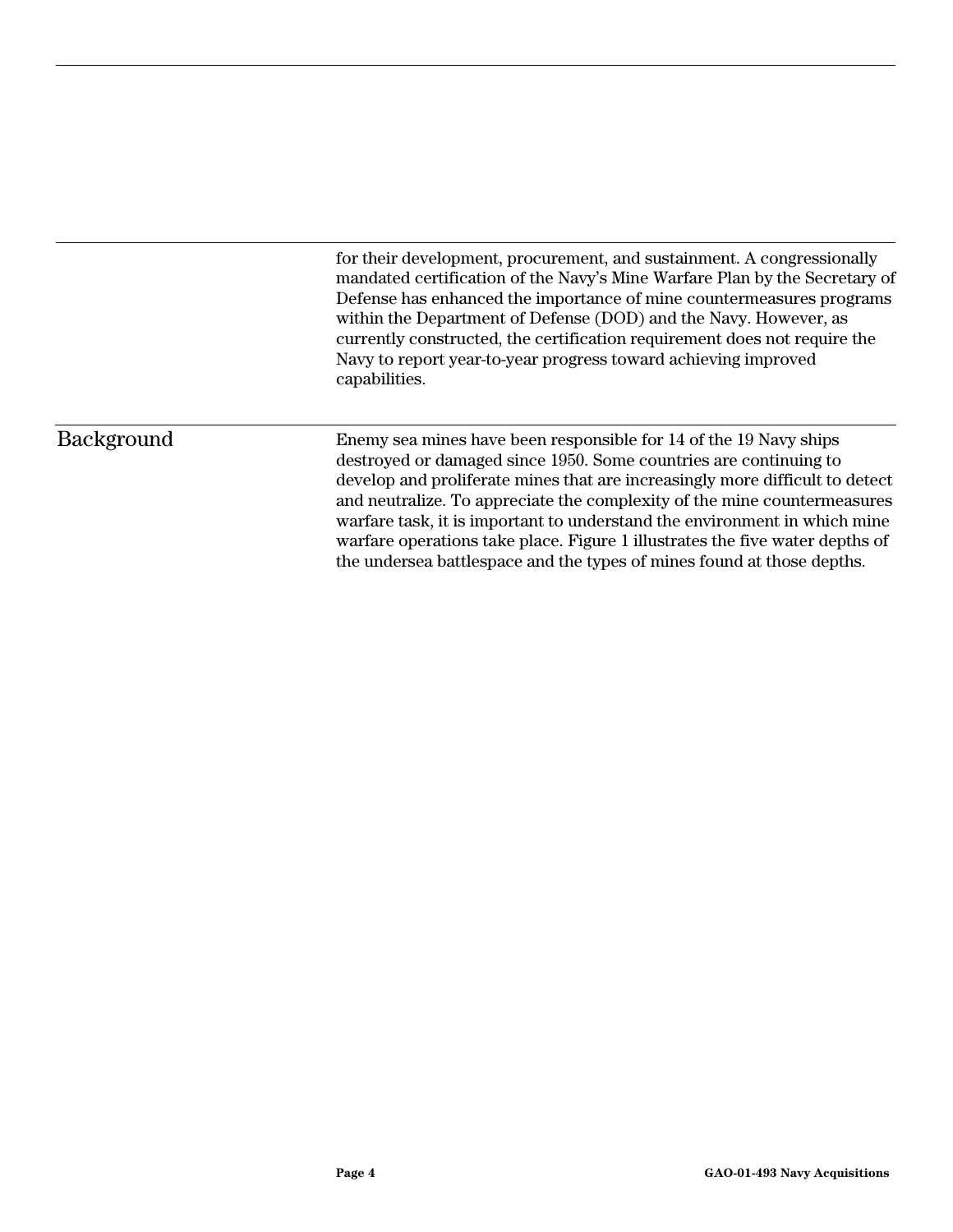for their development, procurement, and sustainment. A congressionally mandated certification of the Navy's Mine Warfare Plan by the Secretary of Defense has enhanced the importance of mine countermeasures programs within the Department of Defense (DOD) and the Navy. However, as currently constructed, the certification requirement does not require the Navy to report year-to-year progress toward achieving improved capabilities.

#### Background

Enemy sea mines have been responsible for 14 of the 19 Navy ships destroyed or damaged since 1950. Some countries are continuing to develop and proliferate mines that are increasingly more difficult to detect and neutralize. To appreciate the complexity of the mine countermeasures warfare task, it is important to understand the environment in which mine warfare operations take place. Figure 1 illustrates the five water depths of the undersea battlespace and the types of mines found at those depths.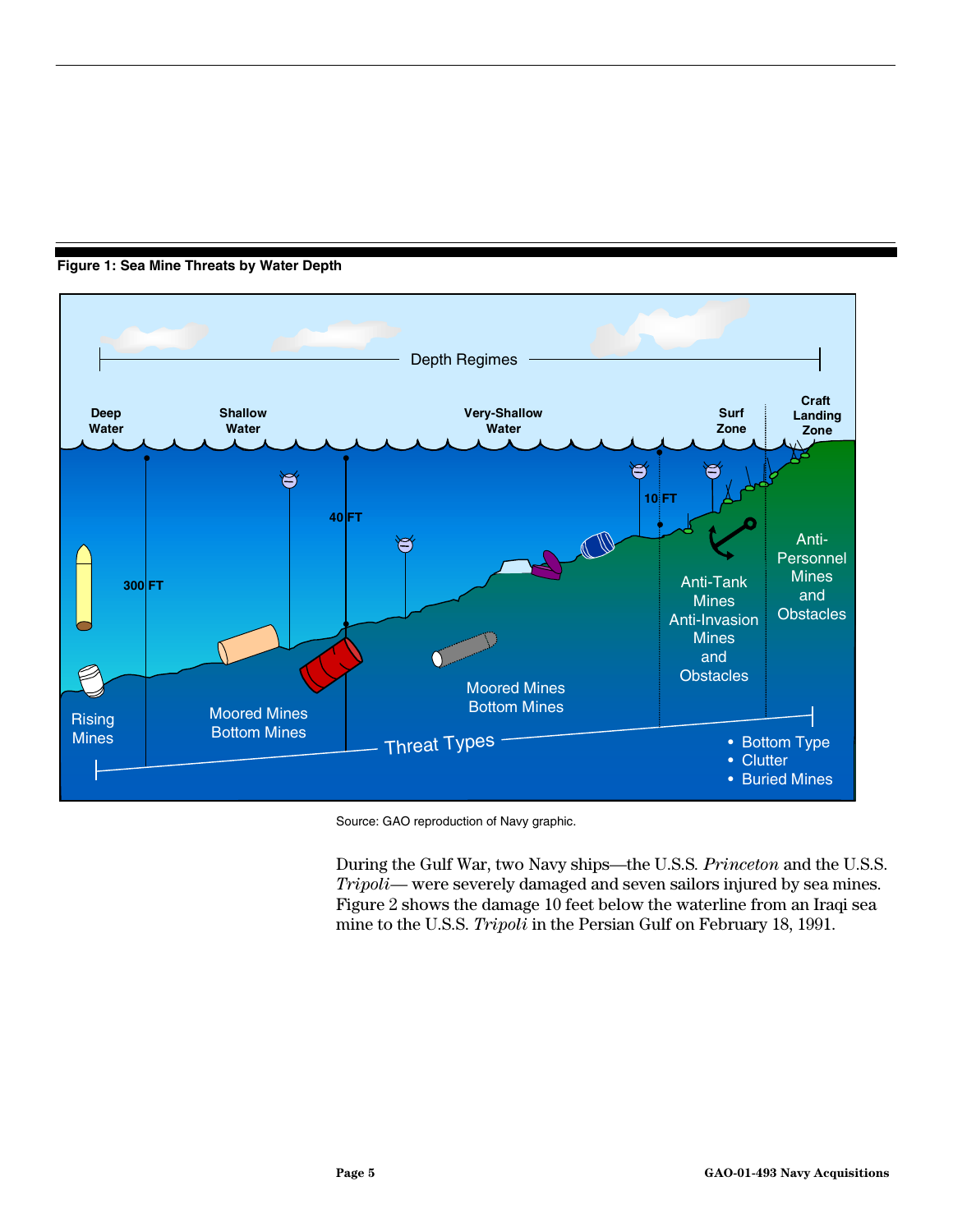<span id="page-6-0"></span>**Figure 1: Sea Mine Threats by Water Depth**



Source: GAO reproduction of Navy graphic.

During the Gulf War, two Navy ships—the U.S.S*. Princeton* and the U.S.S. *Tripoli*— were severely damaged and seven sailors injured by sea mines. Figure 2 shows the damage 10 feet below the waterline from an Iraqi sea mine to the U.S.S. *Tripoli* in the Persian Gulf on February 18, 1991.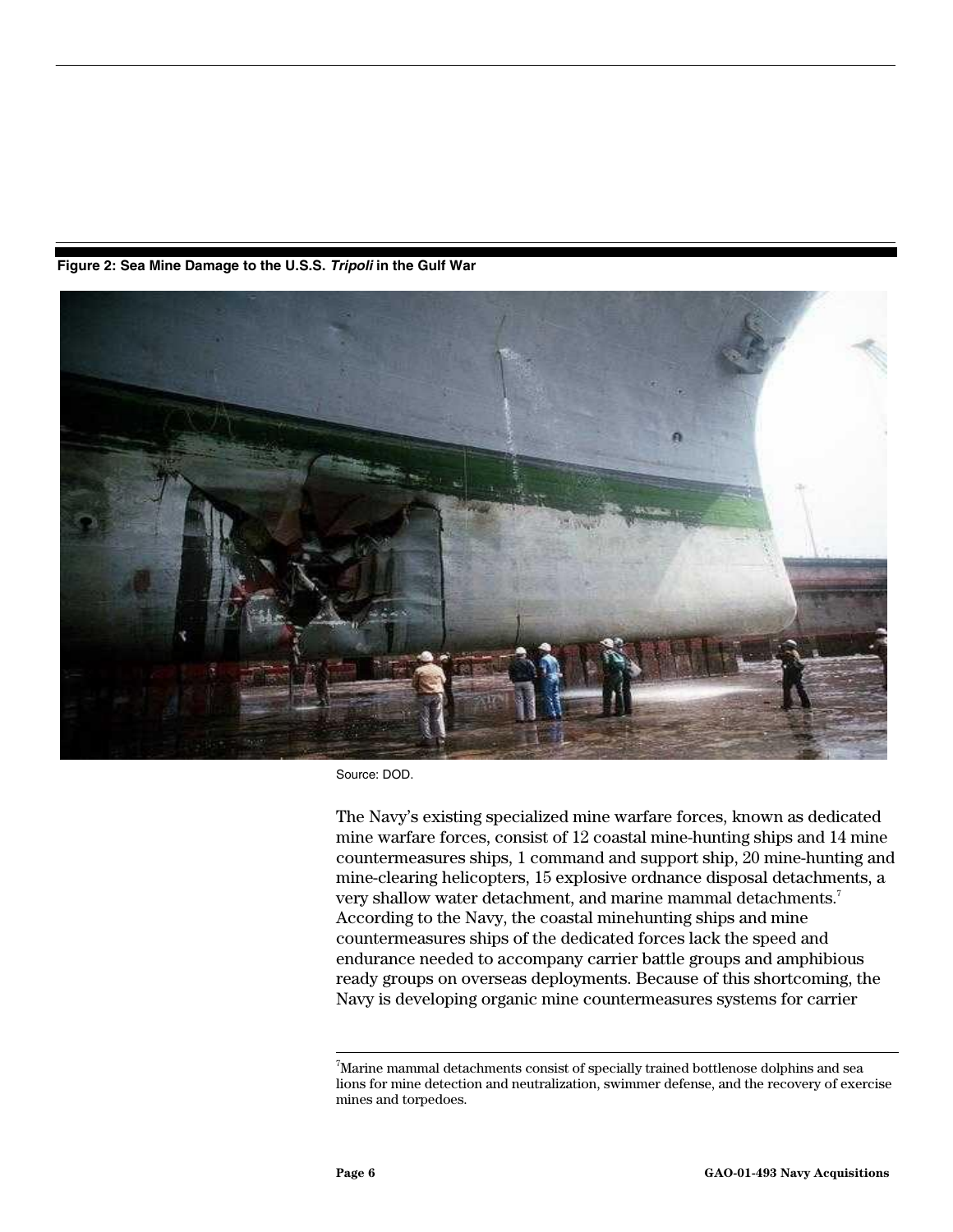<span id="page-7-0"></span>**Figure 2: Sea Mine Damage to the U.S.S.** *Tripoli* **in the Gulf War**



Source: DOD.

The Navy's existing specialized mine warfare forces, known as dedicated mine warfare forces, consist of 12 coastal mine-hunting ships and 14 mine countermeasures ships, 1 command and support ship, 20 mine-hunting and mine-clearing helicopters, 15 explosive ordnance disposal detachments, a very shallow water detachment, and marine mammal detachments.<sup>7</sup> According to the Navy, the coastal minehunting ships and mine countermeasures ships of the dedicated forces lack the speed and endurance needed to accompany carrier battle groups and amphibious ready groups on overseas deployments. Because of this shortcoming, the Navy is developing organic mine countermeasures systems for carrier

<sup>-&</sup>lt;br>7  $\sqrt{7}$ Marine mammal detachments consist of specially trained bottlenose dolphins and sea lions for mine detection and neutralization, swimmer defense, and the recovery of exercise mines and torpedoes.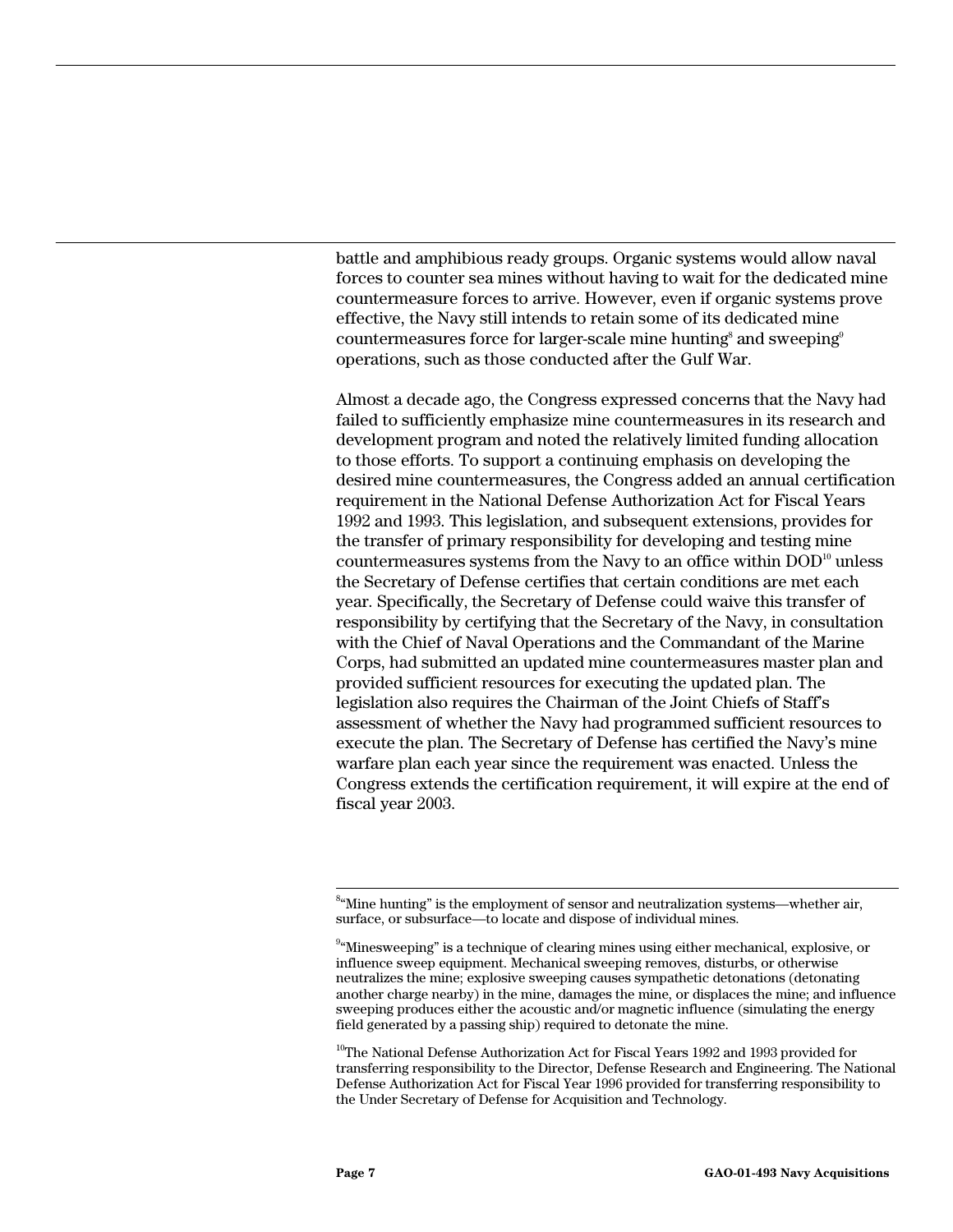battle and amphibious ready groups. Organic systems would allow naval forces to counter sea mines without having to wait for the dedicated mine countermeasure forces to arrive. However, even if organic systems prove effective, the Navy still intends to retain some of its dedicated mine  $\rm{countermeasures}$  force for larger-scale mine hunting $\rm^s$  and  $\rm{sweeping}^s$ operations, such as those conducted after the Gulf War.

Almost a decade ago, the Congress expressed concerns that the Navy had failed to sufficiently emphasize mine countermeasures in its research and development program and noted the relatively limited funding allocation to those efforts. To support a continuing emphasis on developing the desired mine countermeasures, the Congress added an annual certification requirement in the National Defense Authorization Act for Fiscal Years 1992 and 1993. This legislation, and subsequent extensions, provides for the transfer of primary responsibility for developing and testing mine countermeasures systems from the Navy to an office within  $DOD<sup>10</sup>$  unless the Secretary of Defense certifies that certain conditions are met each year. Specifically, the Secretary of Defense could waive this transfer of responsibility by certifying that the Secretary of the Navy, in consultation with the Chief of Naval Operations and the Commandant of the Marine Corps, had submitted an updated mine countermeasures master plan and provided sufficient resources for executing the updated plan. The legislation also requires the Chairman of the Joint Chiefs of Staff's assessment of whether the Navy had programmed sufficient resources to execute the plan. The Secretary of Defense has certified the Navy's mine warfare plan each year since the requirement was enacted. Unless the Congress extends the certification requirement, it will expire at the end of fiscal year 2003.

<sup>10</sup>The National Defense Authorization Act for Fiscal Years 1992 and 1993 provided for transferring responsibility to the Director, Defense Research and Engineering. The National Defense Authorization Act for Fiscal Year 1996 provided for transferring responsibility to the Under Secretary of Defense for Acquisition and Technology.

 <sup>8</sup>  $\mu^{\text{S}}$ "Mine hunting" is the employment of sensor and neutralization systems—whether air, surface, or subsurface—to locate and dispose of individual mines.

 $^{94}$ Minesweeping" is a technique of clearing mines using either mechanical, explosive, or influence sweep equipment. Mechanical sweeping removes, disturbs, or otherwise neutralizes the mine; explosive sweeping causes sympathetic detonations (detonating another charge nearby) in the mine, damages the mine, or displaces the mine; and influence sweeping produces either the acoustic and/or magnetic influence (simulating the energy field generated by a passing ship) required to detonate the mine.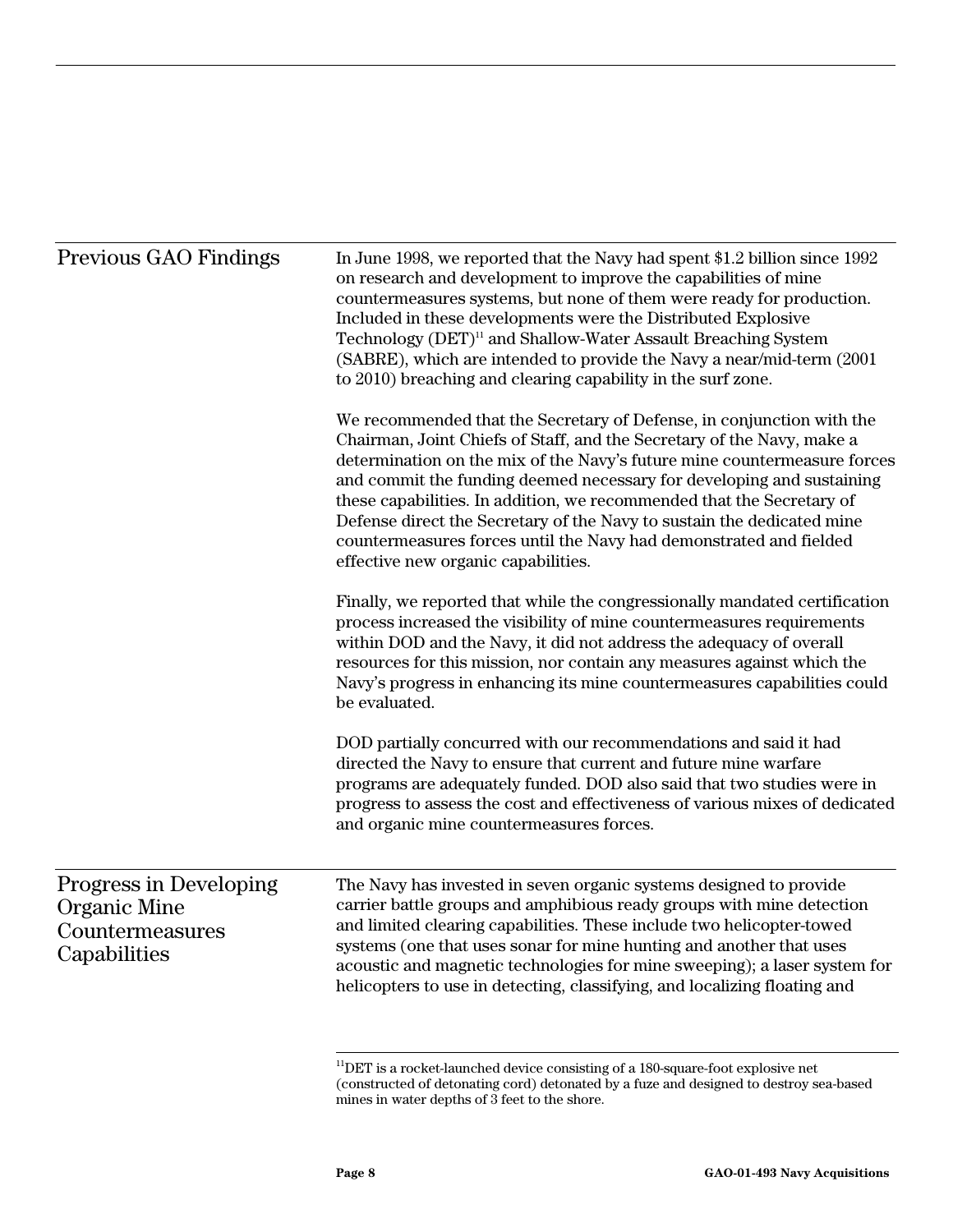| <b>Previous GAO Findings</b>                                              | In June 1998, we reported that the Navy had spent \$1.2 billion since 1992<br>on research and development to improve the capabilities of mine<br>countermeasures systems, but none of them were ready for production.<br>Included in these developments were the Distributed Explosive<br>Technology (DET) <sup>11</sup> and Shallow-Water Assault Breaching System<br>(SABRE), which are intended to provide the Navy a near/mid-term (2001<br>to 2010) breaching and clearing capability in the surf zone.                                                         |  |  |
|---------------------------------------------------------------------------|----------------------------------------------------------------------------------------------------------------------------------------------------------------------------------------------------------------------------------------------------------------------------------------------------------------------------------------------------------------------------------------------------------------------------------------------------------------------------------------------------------------------------------------------------------------------|--|--|
|                                                                           | We recommended that the Secretary of Defense, in conjunction with the<br>Chairman, Joint Chiefs of Staff, and the Secretary of the Navy, make a<br>determination on the mix of the Navy's future mine countermeasure forces<br>and commit the funding deemed necessary for developing and sustaining<br>these capabilities. In addition, we recommended that the Secretary of<br>Defense direct the Secretary of the Navy to sustain the dedicated mine<br>countermeasures forces until the Navy had demonstrated and fielded<br>effective new organic capabilities. |  |  |
|                                                                           | Finally, we reported that while the congressionally mandated certification<br>process increased the visibility of mine countermeasures requirements<br>within DOD and the Navy, it did not address the adequacy of overall<br>resources for this mission, nor contain any measures against which the<br>Navy's progress in enhancing its mine countermeasures capabilities could<br>be evaluated.                                                                                                                                                                    |  |  |
|                                                                           | DOD partially concurred with our recommendations and said it had<br>directed the Navy to ensure that current and future mine warfare<br>programs are adequately funded. DOD also said that two studies were in<br>progress to assess the cost and effectiveness of various mixes of dedicated<br>and organic mine countermeasures forces.                                                                                                                                                                                                                            |  |  |
| Progress in Developing<br>Organic Mine<br>Countermeasures<br>Capabilities | The Navy has invested in seven organic systems designed to provide<br>carrier battle groups and amphibious ready groups with mine detection<br>and limited clearing capabilities. These include two helicopter-towed<br>systems (one that uses sonar for mine hunting and another that uses<br>acoustic and magnetic technologies for mine sweeping); a laser system for<br>helicopters to use in detecting, classifying, and localizing floating and                                                                                                                |  |  |

 $11$ DET is a rocket-launched device consisting of a 180-square-foot explosive net (constructed of detonating cord) detonated by a fuze and designed to destroy sea-based mines in water depths of 3 feet to the shore.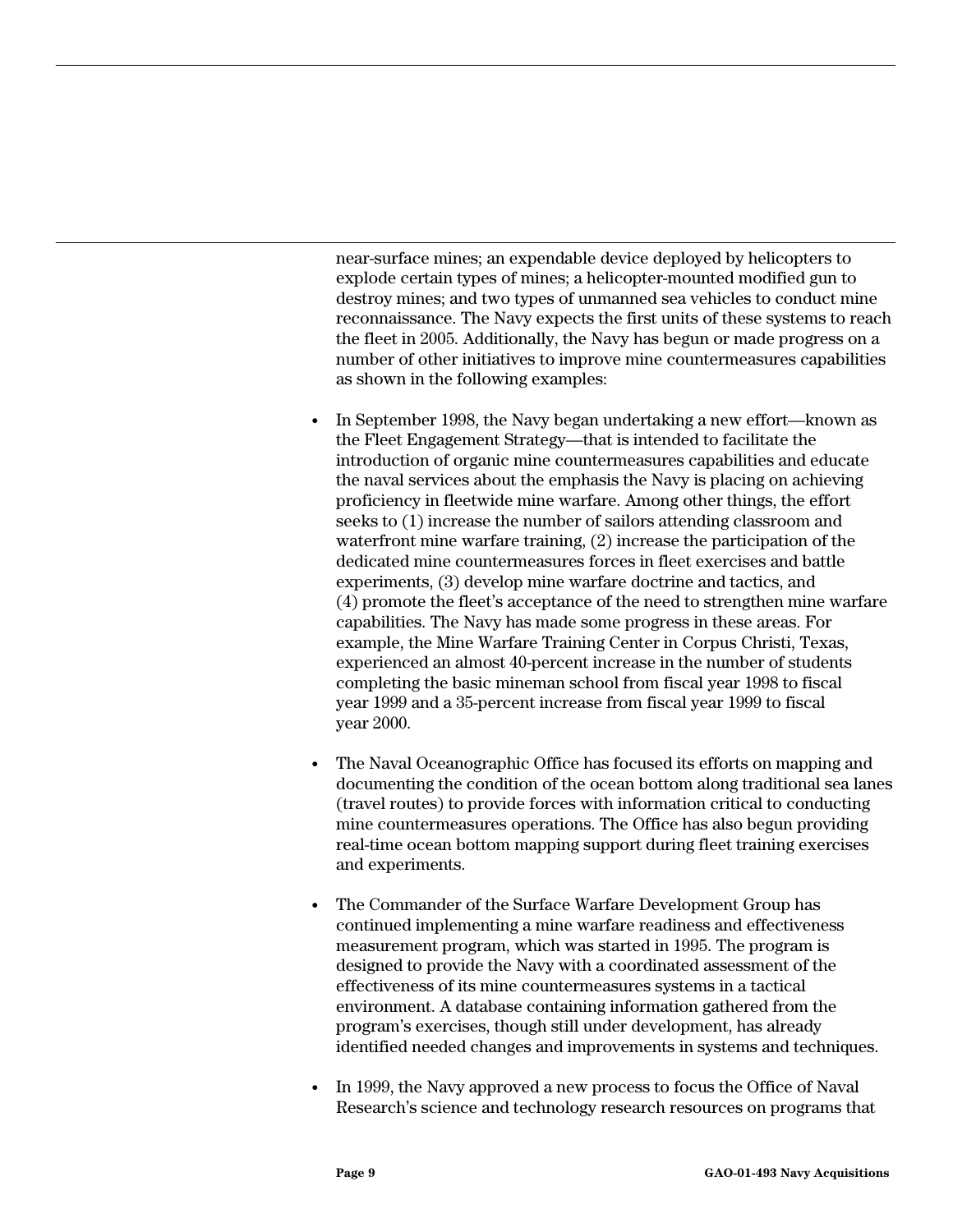near-surface mines; an expendable device deployed by helicopters to explode certain types of mines; a helicopter-mounted modified gun to destroy mines; and two types of unmanned sea vehicles to conduct mine reconnaissance. The Navy expects the first units of these systems to reach the fleet in 2005. Additionally, the Navy has begun or made progress on a number of other initiatives to improve mine countermeasures capabilities as shown in the following examples:

- In September 1998, the Navy began undertaking a new effort—known as the Fleet Engagement Strategy—that is intended to facilitate the introduction of organic mine countermeasures capabilities and educate the naval services about the emphasis the Navy is placing on achieving proficiency in fleetwide mine warfare. Among other things, the effort seeks to (1) increase the number of sailors attending classroom and waterfront mine warfare training, (2) increase the participation of the dedicated mine countermeasures forces in fleet exercises and battle experiments, (3) develop mine warfare doctrine and tactics, and (4) promote the fleet's acceptance of the need to strengthen mine warfare capabilities. The Navy has made some progress in these areas. For example, the Mine Warfare Training Center in Corpus Christi, Texas, experienced an almost 40-percent increase in the number of students completing the basic mineman school from fiscal year 1998 to fiscal year 1999 and a 35-percent increase from fiscal year 1999 to fiscal year 2000.
- The Naval Oceanographic Office has focused its efforts on mapping and documenting the condition of the ocean bottom along traditional sea lanes (travel routes) to provide forces with information critical to conducting mine countermeasures operations. The Office has also begun providing real-time ocean bottom mapping support during fleet training exercises and experiments.
- The Commander of the Surface Warfare Development Group has continued implementing a mine warfare readiness and effectiveness measurement program, which was started in 1995. The program is designed to provide the Navy with a coordinated assessment of the effectiveness of its mine countermeasures systems in a tactical environment. A database containing information gathered from the program's exercises, though still under development, has already identified needed changes and improvements in systems and techniques.
- In 1999, the Navy approved a new process to focus the Office of Naval Research's science and technology research resources on programs that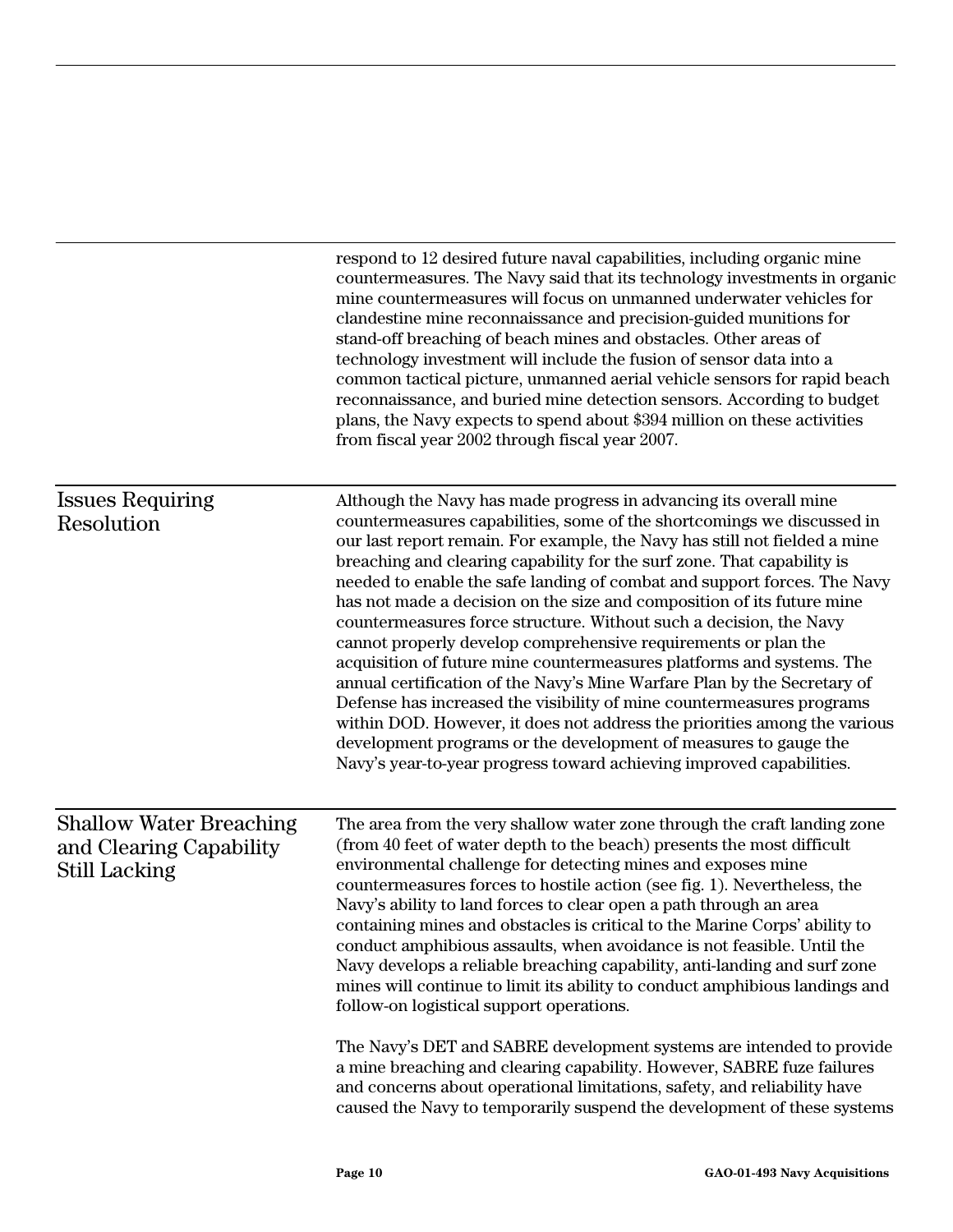| respond to 12 desired future naval capabilities, including organic mine<br>countermeasures. The Navy said that its technology investments in organic<br>mine countermeasures will focus on unmanned underwater vehicles for<br>clandestine mine reconnaissance and precision-guided munitions for<br>stand-off breaching of beach mines and obstacles. Other areas of<br>technology investment will include the fusion of sensor data into a<br>common tactical picture, unmanned aerial vehicle sensors for rapid beach<br>reconnaissance, and buried mine detection sensors. According to budget<br>plans, the Navy expects to spend about \$394 million on these activities<br>from fiscal year 2002 through fiscal year 2007.                                                                                                                                                                                                                                                                                                                         |
|-----------------------------------------------------------------------------------------------------------------------------------------------------------------------------------------------------------------------------------------------------------------------------------------------------------------------------------------------------------------------------------------------------------------------------------------------------------------------------------------------------------------------------------------------------------------------------------------------------------------------------------------------------------------------------------------------------------------------------------------------------------------------------------------------------------------------------------------------------------------------------------------------------------------------------------------------------------------------------------------------------------------------------------------------------------|
| Although the Navy has made progress in advancing its overall mine<br>countermeasures capabilities, some of the shortcomings we discussed in<br>our last report remain. For example, the Navy has still not fielded a mine<br>breaching and clearing capability for the surf zone. That capability is<br>needed to enable the safe landing of combat and support forces. The Navy<br>has not made a decision on the size and composition of its future mine<br>countermeasures force structure. Without such a decision, the Navy<br>cannot properly develop comprehensive requirements or plan the<br>acquisition of future mine countermeasures platforms and systems. The<br>annual certification of the Navy's Mine Warfare Plan by the Secretary of<br>Defense has increased the visibility of mine countermeasures programs<br>within DOD. However, it does not address the priorities among the various<br>development programs or the development of measures to gauge the<br>Navy's year-to-year progress toward achieving improved capabilities. |
| The area from the very shallow water zone through the craft landing zone<br>(from 40 feet of water depth to the beach) presents the most difficult<br>environmental challenge for detecting mines and exposes mine<br>countermeasures forces to hostile action (see fig. 1). Nevertheless, the<br>Navy's ability to land forces to clear open a path through an area<br>containing mines and obstacles is critical to the Marine Corps' ability to<br>conduct amphibious assaults, when avoidance is not feasible. Until the<br>Navy develops a reliable breaching capability, anti-landing and surf zone<br>mines will continue to limit its ability to conduct amphibious landings and<br>follow-on logistical support operations.<br>The Navy's DET and SABRE development systems are intended to provide<br>a mine breaching and clearing capability. However, SABRE fuze failures<br>and concerns about operational limitations, safety, and reliability have<br>caused the Navy to temporarily suspend the development of these systems             |
|                                                                                                                                                                                                                                                                                                                                                                                                                                                                                                                                                                                                                                                                                                                                                                                                                                                                                                                                                                                                                                                           |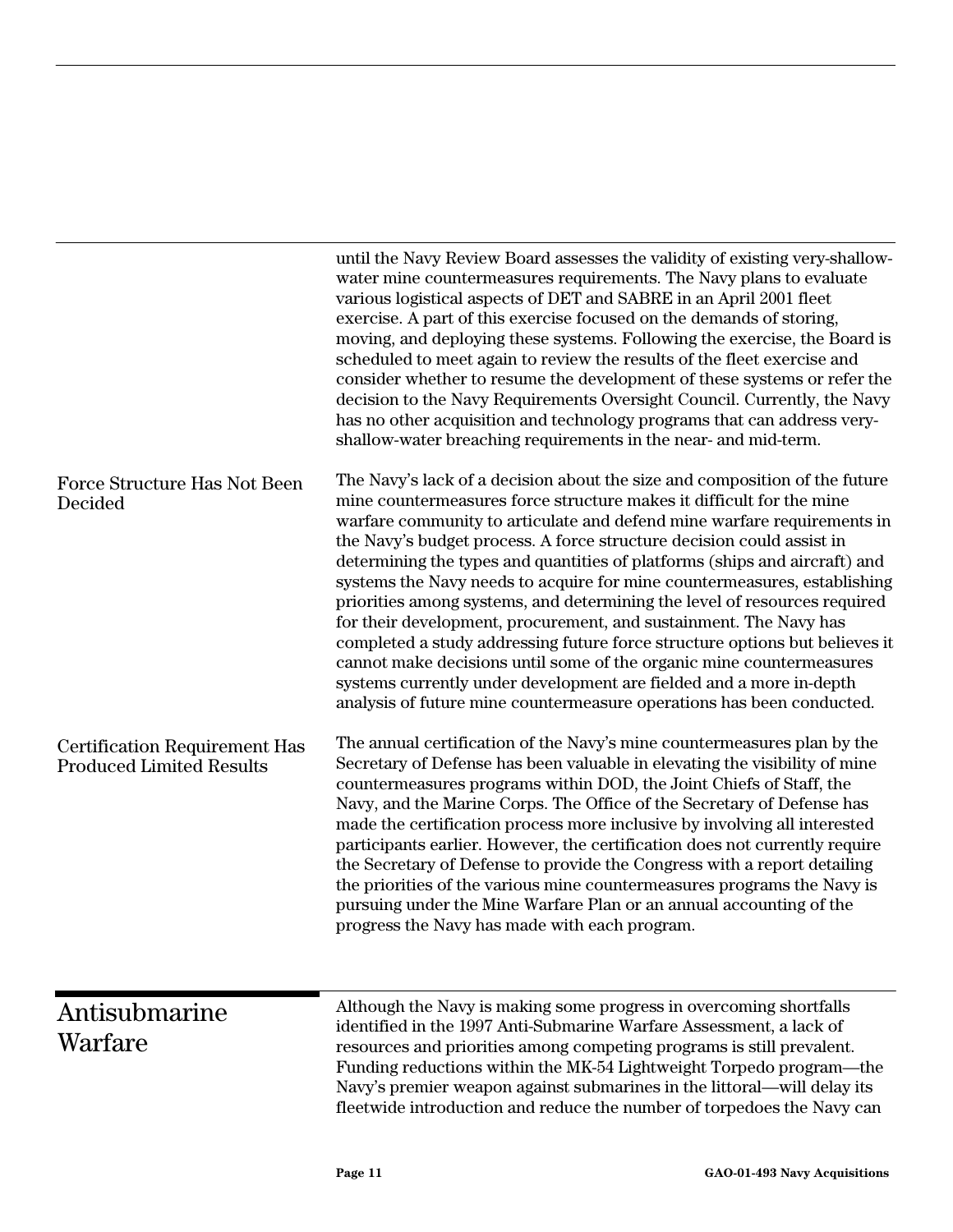|                                                                         | until the Navy Review Board assesses the validity of existing very-shallow-<br>water mine countermeasures requirements. The Navy plans to evaluate<br>various logistical aspects of DET and SABRE in an April 2001 fleet<br>exercise. A part of this exercise focused on the demands of storing,<br>moving, and deploying these systems. Following the exercise, the Board is<br>scheduled to meet again to review the results of the fleet exercise and<br>consider whether to resume the development of these systems or refer the<br>decision to the Navy Requirements Oversight Council. Currently, the Navy<br>has no other acquisition and technology programs that can address very-<br>shallow-water breaching requirements in the near- and mid-term.                                                                                                                                                            |
|-------------------------------------------------------------------------|---------------------------------------------------------------------------------------------------------------------------------------------------------------------------------------------------------------------------------------------------------------------------------------------------------------------------------------------------------------------------------------------------------------------------------------------------------------------------------------------------------------------------------------------------------------------------------------------------------------------------------------------------------------------------------------------------------------------------------------------------------------------------------------------------------------------------------------------------------------------------------------------------------------------------|
| Force Structure Has Not Been<br>Decided                                 | The Navy's lack of a decision about the size and composition of the future<br>mine countermeasures force structure makes it difficult for the mine<br>warfare community to articulate and defend mine warfare requirements in<br>the Navy's budget process. A force structure decision could assist in<br>determining the types and quantities of platforms (ships and aircraft) and<br>systems the Navy needs to acquire for mine countermeasures, establishing<br>priorities among systems, and determining the level of resources required<br>for their development, procurement, and sustainment. The Navy has<br>completed a study addressing future force structure options but believes it<br>cannot make decisions until some of the organic mine countermeasures<br>systems currently under development are fielded and a more in-depth<br>analysis of future mine countermeasure operations has been conducted. |
| <b>Certification Requirement Has</b><br><b>Produced Limited Results</b> | The annual certification of the Navy's mine countermeasures plan by the<br>Secretary of Defense has been valuable in elevating the visibility of mine<br>countermeasures programs within DOD, the Joint Chiefs of Staff, the<br>Navy, and the Marine Corps. The Office of the Secretary of Defense has<br>made the certification process more inclusive by involving all interested<br>participants earlier. However, the certification does not currently require<br>the Secretary of Defense to provide the Congress with a report detailing<br>the priorities of the various mine countermeasures programs the Navy is<br>pursuing under the Mine Warfare Plan or an annual accounting of the<br>progress the Navy has made with each program.                                                                                                                                                                         |
| Antisubmarine<br>Warfare                                                | Although the Navy is making some progress in overcoming shortfalls<br>identified in the 1997 Anti-Submarine Warfare Assessment, a lack of<br>resources and priorities among competing programs is still prevalent.<br>Funding reductions within the MK-54 Lightweight Torpedo program—the<br>Navy's premier weapon against submarines in the littoral-will delay its<br>fleetwide introduction and reduce the number of torpedoes the Navy can                                                                                                                                                                                                                                                                                                                                                                                                                                                                            |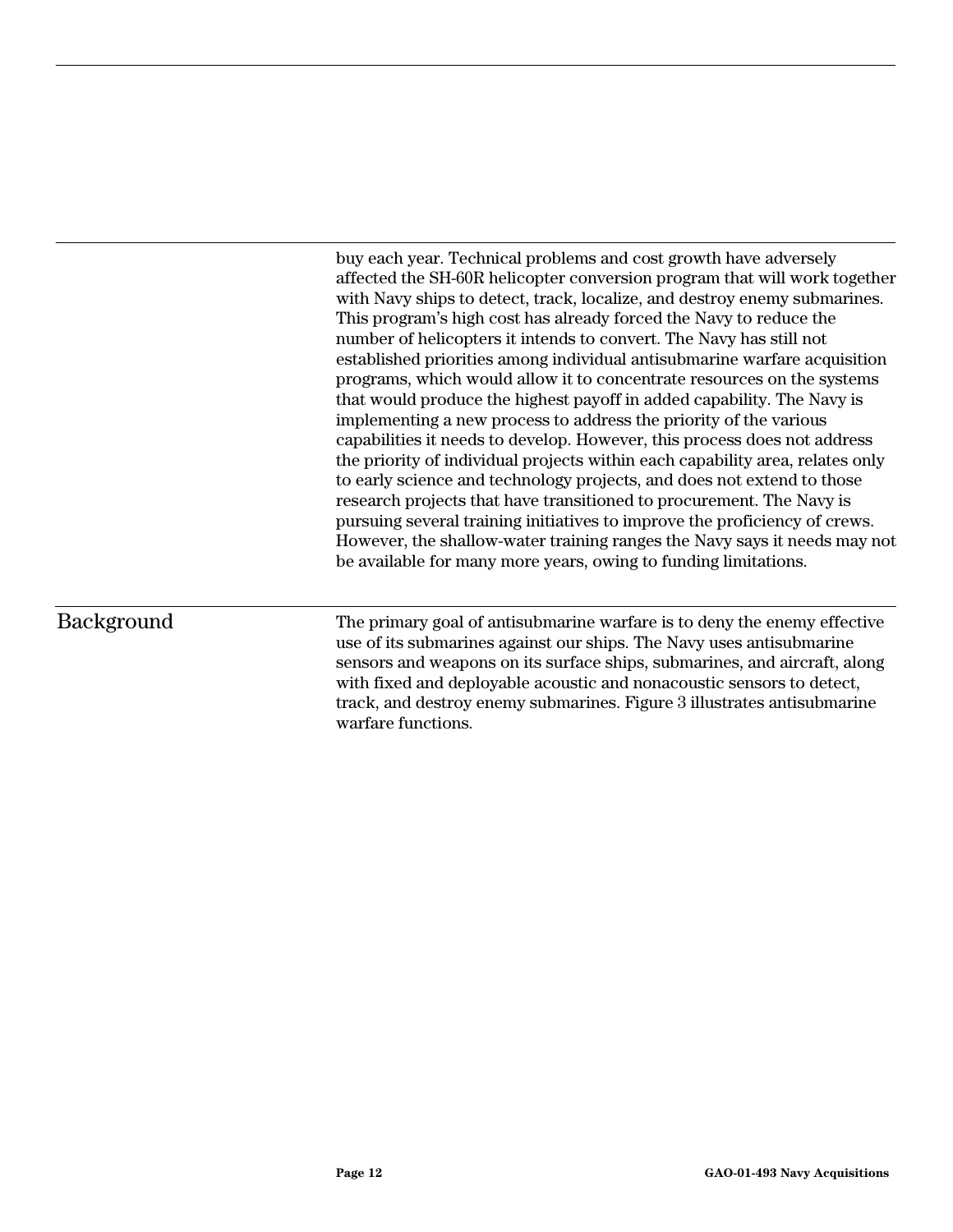buy each year. Technical problems and cost growth have adversely affected the SH-60R helicopter conversion program that will work together with Navy ships to detect, track, localize, and destroy enemy submarines. This program's high cost has already forced the Navy to reduce the number of helicopters it intends to convert. The Navy has still not established priorities among individual antisubmarine warfare acquisition programs, which would allow it to concentrate resources on the systems that would produce the highest payoff in added capability. The Navy is implementing a new process to address the priority of the various capabilities it needs to develop. However, this process does not address the priority of individual projects within each capability area, relates only to early science and technology projects, and does not extend to those research projects that have transitioned to procurement. The Navy is pursuing several training initiatives to improve the proficiency of crews. However, the shallow-water training ranges the Navy says it needs may not be available for many more years, owing to funding limitations.

#### Background

The primary goal of antisubmarine warfare is to deny the enemy effective use of its submarines against our ships. The Navy uses antisubmarine sensors and weapons on its surface ships, submarines, and aircraft, along with fixed and deployable acoustic and nonacoustic sensors to detect, track, and destroy enemy submarines. Figure 3 illustrates antisubmarine warfare functions.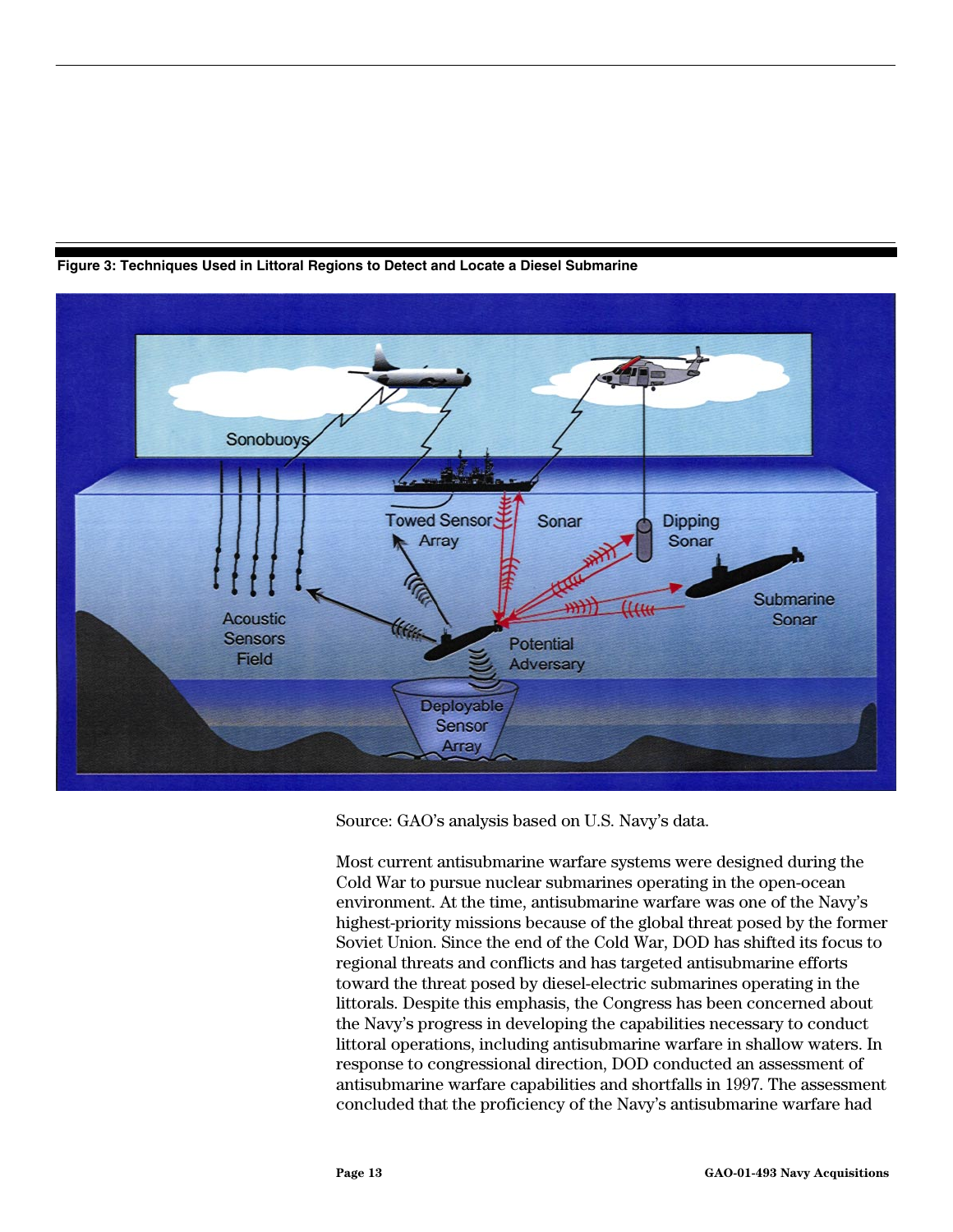<span id="page-14-0"></span>

**Figure 3: Techniques Used in Littoral Regions to Detect and Locate a Diesel Submarine**

Source: GAO's analysis based on U.S. Navy's data.

Most current antisubmarine warfare systems were designed during the Cold War to pursue nuclear submarines operating in the open-ocean environment. At the time, antisubmarine warfare was one of the Navy's highest-priority missions because of the global threat posed by the former Soviet Union. Since the end of the Cold War, DOD has shifted its focus to regional threats and conflicts and has targeted antisubmarine efforts toward the threat posed by diesel-electric submarines operating in the littorals. Despite this emphasis, the Congress has been concerned about the Navy's progress in developing the capabilities necessary to conduct littoral operations, including antisubmarine warfare in shallow waters. In response to congressional direction, DOD conducted an assessment of antisubmarine warfare capabilities and shortfalls in 1997. The assessment concluded that the proficiency of the Navy's antisubmarine warfare had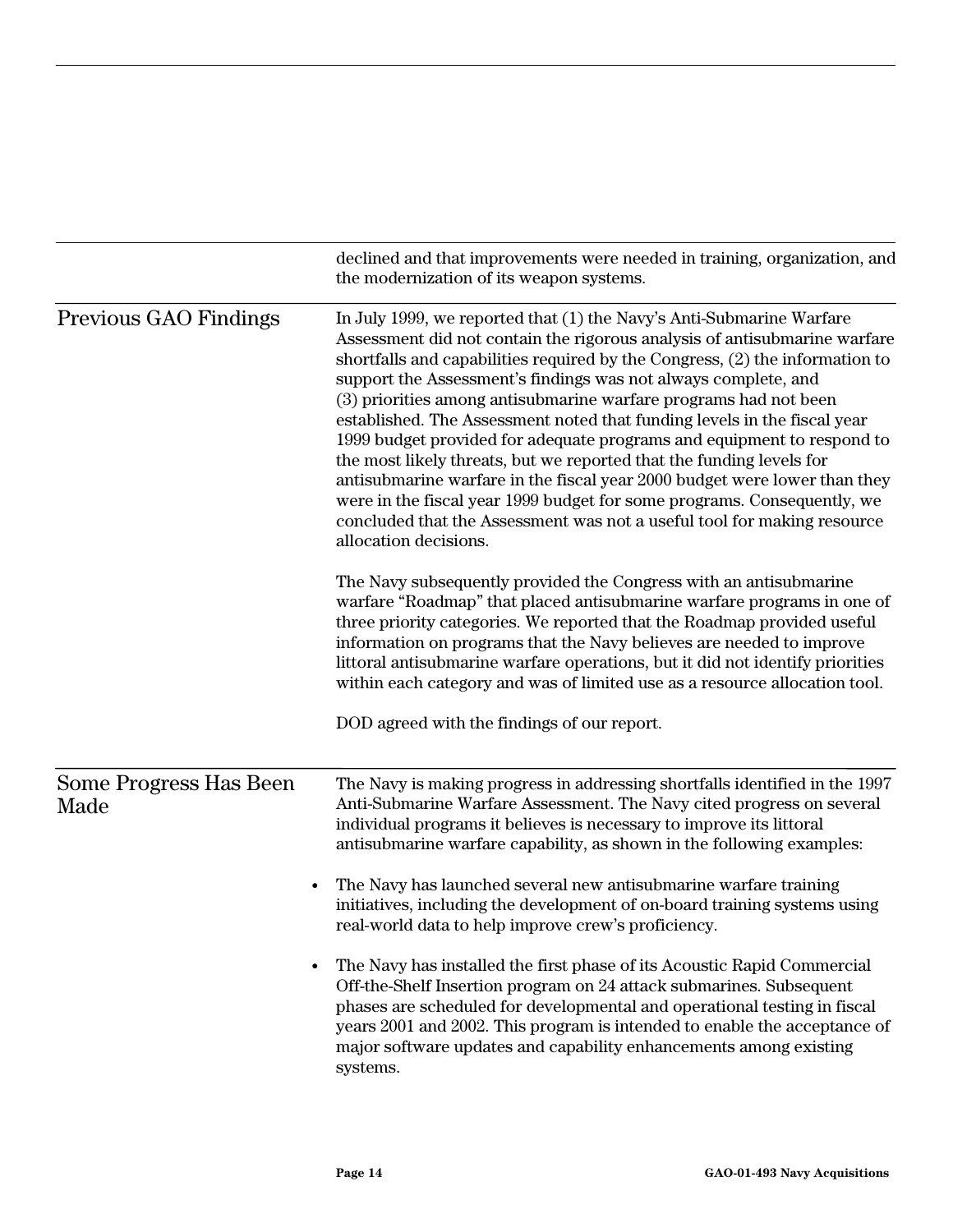|                                | declined and that improvements were needed in training, organization, and<br>the modernization of its weapon systems.                                                                                                                                                                                                                                                                                                                                                                                                                                                                                                                                                                                                                                                                                                                                             |
|--------------------------------|-------------------------------------------------------------------------------------------------------------------------------------------------------------------------------------------------------------------------------------------------------------------------------------------------------------------------------------------------------------------------------------------------------------------------------------------------------------------------------------------------------------------------------------------------------------------------------------------------------------------------------------------------------------------------------------------------------------------------------------------------------------------------------------------------------------------------------------------------------------------|
| Previous GAO Findings          | In July 1999, we reported that (1) the Navy's Anti-Submarine Warfare<br>Assessment did not contain the rigorous analysis of antisubmarine warfare<br>shortfalls and capabilities required by the Congress, (2) the information to<br>support the Assessment's findings was not always complete, and<br>(3) priorities among antisubmarine warfare programs had not been<br>established. The Assessment noted that funding levels in the fiscal year<br>1999 budget provided for adequate programs and equipment to respond to<br>the most likely threats, but we reported that the funding levels for<br>antisubmarine warfare in the fiscal year 2000 budget were lower than they<br>were in the fiscal year 1999 budget for some programs. Consequently, we<br>concluded that the Assessment was not a useful tool for making resource<br>allocation decisions. |
|                                | The Navy subsequently provided the Congress with an antisubmarine<br>warfare "Roadmap" that placed antisubmarine warfare programs in one of<br>three priority categories. We reported that the Roadmap provided useful<br>information on programs that the Navy believes are needed to improve<br>littoral antisubmarine warfare operations, but it did not identify priorities<br>within each category and was of limited use as a resource allocation tool.                                                                                                                                                                                                                                                                                                                                                                                                     |
|                                | DOD agreed with the findings of our report.                                                                                                                                                                                                                                                                                                                                                                                                                                                                                                                                                                                                                                                                                                                                                                                                                       |
| Some Progress Has Been<br>Made | The Navy is making progress in addressing shortfalls identified in the 1997<br>Anti-Submarine Warfare Assessment. The Navy cited progress on several<br>individual programs it believes is necessary to improve its littoral<br>antisubmarine warfare capability, as shown in the following examples:                                                                                                                                                                                                                                                                                                                                                                                                                                                                                                                                                             |
|                                | The Navy has launched several new antisubmarine warfare training<br>initiatives, including the development of on-board training systems using<br>real-world data to help improve crew's proficiency.                                                                                                                                                                                                                                                                                                                                                                                                                                                                                                                                                                                                                                                              |
|                                | The Navy has installed the first phase of its Acoustic Rapid Commercial<br>Off-the-Shelf Insertion program on 24 attack submarines. Subsequent<br>phases are scheduled for developmental and operational testing in fiscal<br>years 2001 and 2002. This program is intended to enable the acceptance of<br>major software updates and capability enhancements among existing<br>systems.                                                                                                                                                                                                                                                                                                                                                                                                                                                                          |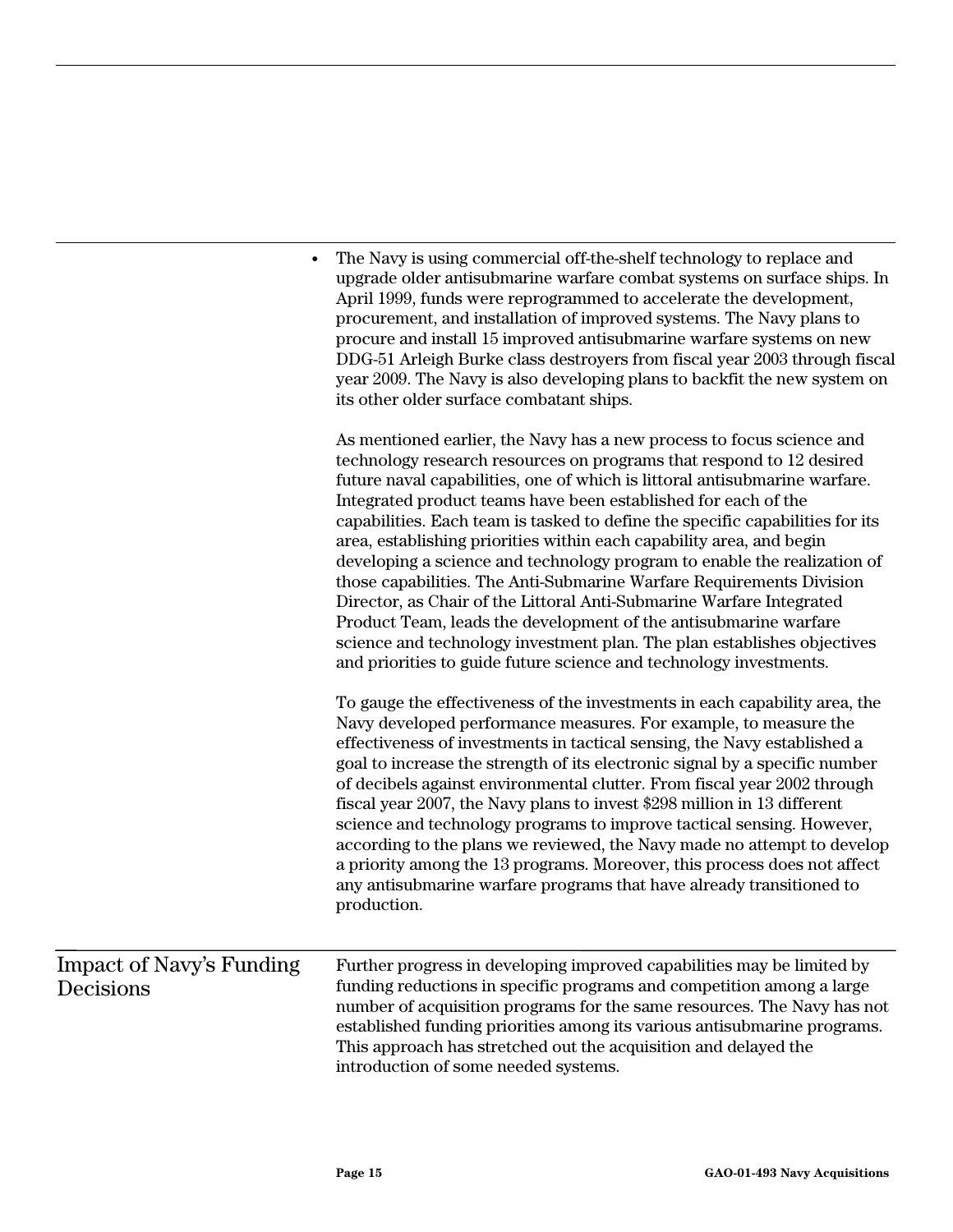|                                              | The Navy is using commercial off-the-shelf technology to replace and<br>upgrade older antisubmarine warfare combat systems on surface ships. In<br>April 1999, funds were reprogrammed to accelerate the development,<br>procurement, and installation of improved systems. The Navy plans to<br>procure and install 15 improved antisubmarine warfare systems on new<br>DDG-51 Arleigh Burke class destroyers from fiscal year 2003 through fiscal<br>year 2009. The Navy is also developing plans to backfit the new system on<br>its other older surface combatant ships.                                                                                                                                                                                                                                                                                                                            |
|----------------------------------------------|---------------------------------------------------------------------------------------------------------------------------------------------------------------------------------------------------------------------------------------------------------------------------------------------------------------------------------------------------------------------------------------------------------------------------------------------------------------------------------------------------------------------------------------------------------------------------------------------------------------------------------------------------------------------------------------------------------------------------------------------------------------------------------------------------------------------------------------------------------------------------------------------------------|
|                                              | As mentioned earlier, the Navy has a new process to focus science and<br>technology research resources on programs that respond to 12 desired<br>future naval capabilities, one of which is littoral antisubmarine warfare.<br>Integrated product teams have been established for each of the<br>capabilities. Each team is tasked to define the specific capabilities for its<br>area, establishing priorities within each capability area, and begin<br>developing a science and technology program to enable the realization of<br>those capabilities. The Anti-Submarine Warfare Requirements Division<br>Director, as Chair of the Littoral Anti-Submarine Warfare Integrated<br>Product Team, leads the development of the antisubmarine warfare<br>science and technology investment plan. The plan establishes objectives<br>and priorities to guide future science and technology investments. |
|                                              | To gauge the effectiveness of the investments in each capability area, the<br>Navy developed performance measures. For example, to measure the<br>effectiveness of investments in tactical sensing, the Navy established a<br>goal to increase the strength of its electronic signal by a specific number<br>of decibels against environmental clutter. From fiscal year 2002 through<br>fiscal year 2007, the Navy plans to invest \$298 million in 13 different<br>science and technology programs to improve tactical sensing. However,<br>according to the plans we reviewed, the Navy made no attempt to develop<br>a priority among the 13 programs. Moreover, this process does not affect<br>any antisubmarine warfare programs that have already transitioned to<br>production.                                                                                                                |
| <b>Impact of Navy's Funding</b><br>Decisions | Further progress in developing improved capabilities may be limited by<br>funding reductions in specific programs and competition among a large<br>number of acquisition programs for the same resources. The Navy has not<br>established funding priorities among its various antisubmarine programs.<br>This approach has stretched out the acquisition and delayed the<br>introduction of some needed systems.                                                                                                                                                                                                                                                                                                                                                                                                                                                                                       |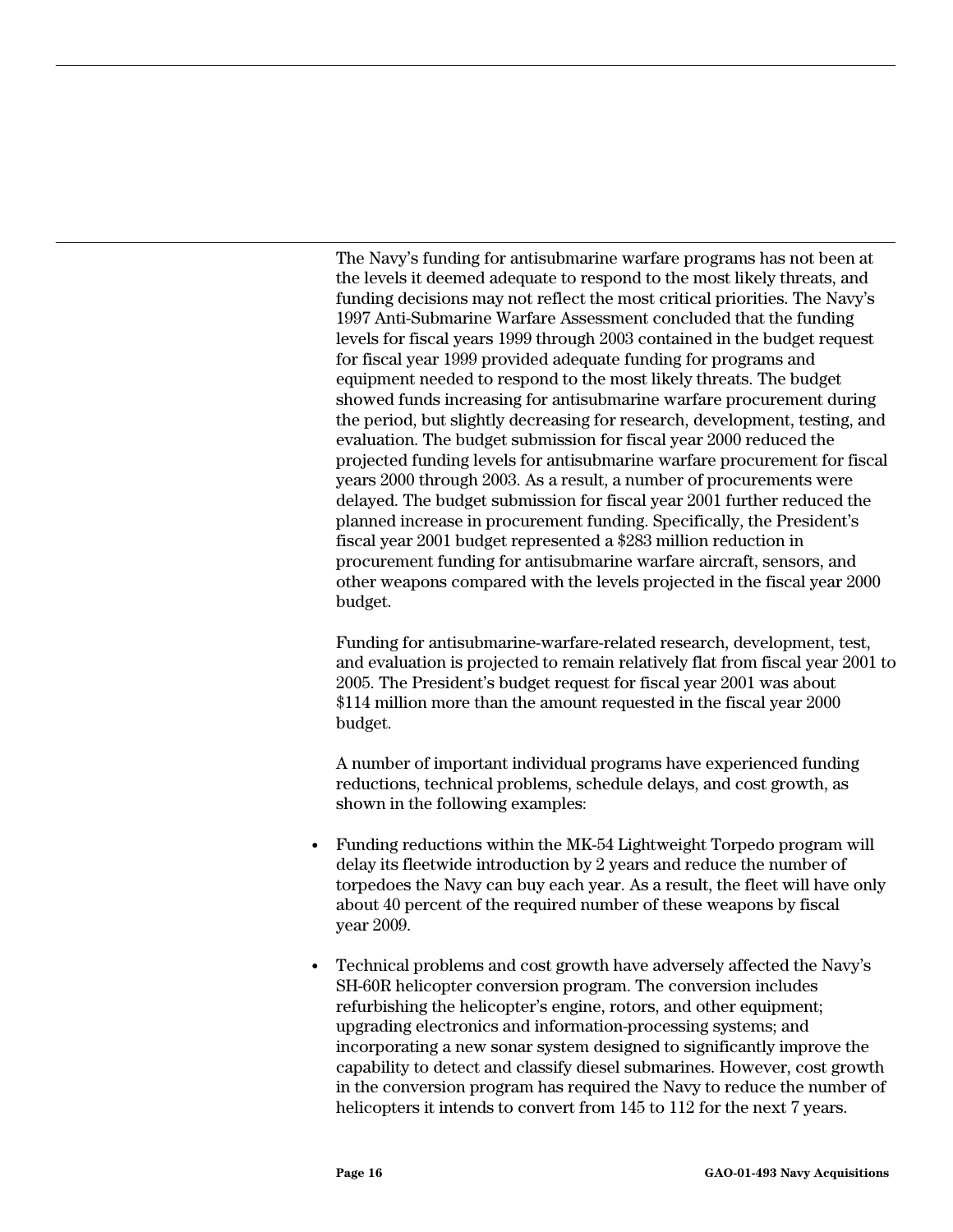The Navy's funding for antisubmarine warfare programs has not been at the levels it deemed adequate to respond to the most likely threats, and funding decisions may not reflect the most critical priorities. The Navy's 1997 Anti-Submarine Warfare Assessment concluded that the funding levels for fiscal years 1999 through 2003 contained in the budget request for fiscal year 1999 provided adequate funding for programs and equipment needed to respond to the most likely threats. The budget showed funds increasing for antisubmarine warfare procurement during the period, but slightly decreasing for research, development, testing, and evaluation. The budget submission for fiscal year 2000 reduced the projected funding levels for antisubmarine warfare procurement for fiscal years 2000 through 2003. As a result, a number of procurements were delayed. The budget submission for fiscal year 2001 further reduced the planned increase in procurement funding. Specifically, the President's fiscal year 2001 budget represented a \$283 million reduction in procurement funding for antisubmarine warfare aircraft, sensors, and other weapons compared with the levels projected in the fiscal year 2000 budget.

Funding for antisubmarine-warfare-related research, development, test, and evaluation is projected to remain relatively flat from fiscal year 2001 to 2005. The President's budget request for fiscal year 2001 was about \$114 million more than the amount requested in the fiscal year 2000 budget.

A number of important individual programs have experienced funding reductions, technical problems, schedule delays, and cost growth, as shown in the following examples:

- Funding reductions within the MK-54 Lightweight Torpedo program will delay its fleetwide introduction by 2 years and reduce the number of torpedoes the Navy can buy each year. As a result, the fleet will have only about 40 percent of the required number of these weapons by fiscal year 2009.
- Technical problems and cost growth have adversely affected the Navy's SH-60R helicopter conversion program. The conversion includes refurbishing the helicopter's engine, rotors, and other equipment; upgrading electronics and information-processing systems; and incorporating a new sonar system designed to significantly improve the capability to detect and classify diesel submarines. However, cost growth in the conversion program has required the Navy to reduce the number of helicopters it intends to convert from 145 to 112 for the next 7 years.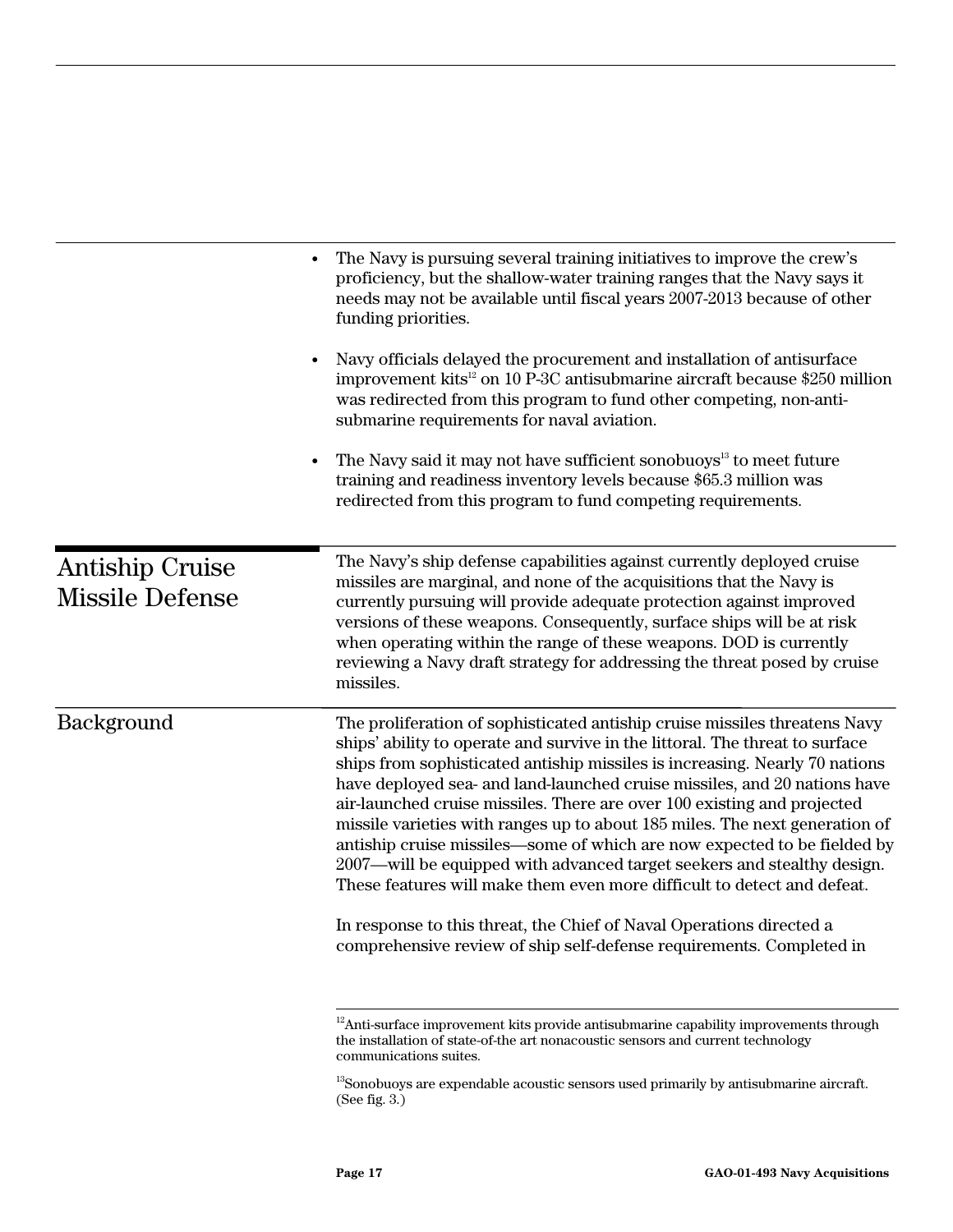|                                                  | The Navy is pursuing several training initiatives to improve the crew's<br>proficiency, but the shallow-water training ranges that the Navy says it<br>needs may not be available until fiscal years 2007-2013 because of other<br>funding priorities.<br>Navy officials delayed the procurement and installation of antisurface<br>improvement kits <sup>12</sup> on 10 P-3C antisubmarine aircraft because \$250 million<br>was redirected from this program to fund other competing, non-anti-<br>submarine requirements for naval aviation.<br>The Navy said it may not have sufficient sonobuoys <sup>13</sup> to meet future<br>training and readiness inventory levels because \$65.3 million was<br>redirected from this program to fund competing requirements.                                                                                           |
|--------------------------------------------------|--------------------------------------------------------------------------------------------------------------------------------------------------------------------------------------------------------------------------------------------------------------------------------------------------------------------------------------------------------------------------------------------------------------------------------------------------------------------------------------------------------------------------------------------------------------------------------------------------------------------------------------------------------------------------------------------------------------------------------------------------------------------------------------------------------------------------------------------------------------------|
| <b>Antiship Cruise</b><br><b>Missile Defense</b> | The Navy's ship defense capabilities against currently deployed cruise<br>missiles are marginal, and none of the acquisitions that the Navy is<br>currently pursuing will provide adequate protection against improved<br>versions of these weapons. Consequently, surface ships will be at risk<br>when operating within the range of these weapons. DOD is currently<br>reviewing a Navy draft strategy for addressing the threat posed by cruise<br>missiles.                                                                                                                                                                                                                                                                                                                                                                                                   |
| Background                                       | The proliferation of sophisticated antiship cruise missiles threatens Navy<br>ships' ability to operate and survive in the littoral. The threat to surface<br>ships from sophisticated antiship missiles is increasing. Nearly 70 nations<br>have deployed sea- and land-launched cruise missiles, and 20 nations have<br>air-launched cruise missiles. There are over 100 existing and projected<br>missile varieties with ranges up to about 185 miles. The next generation of<br>antiship cruise missiles—some of which are now expected to be fielded by<br>2007—will be equipped with advanced target seekers and stealthy design.<br>These features will make them even more difficult to detect and defeat.<br>In response to this threat, the Chief of Naval Operations directed a<br>comprehensive review of ship self-defense requirements. Completed in |

 $12$ Anti-surface improvement kits provide antisubmarine capability improvements through the installation of state-of-the art nonacoustic sensors and current technology communications suites.

 $\rm ^{13}S$  onobuoys are expendable acoustic sensors used primarily by antisubmarine aircraft. (See fig. 3.)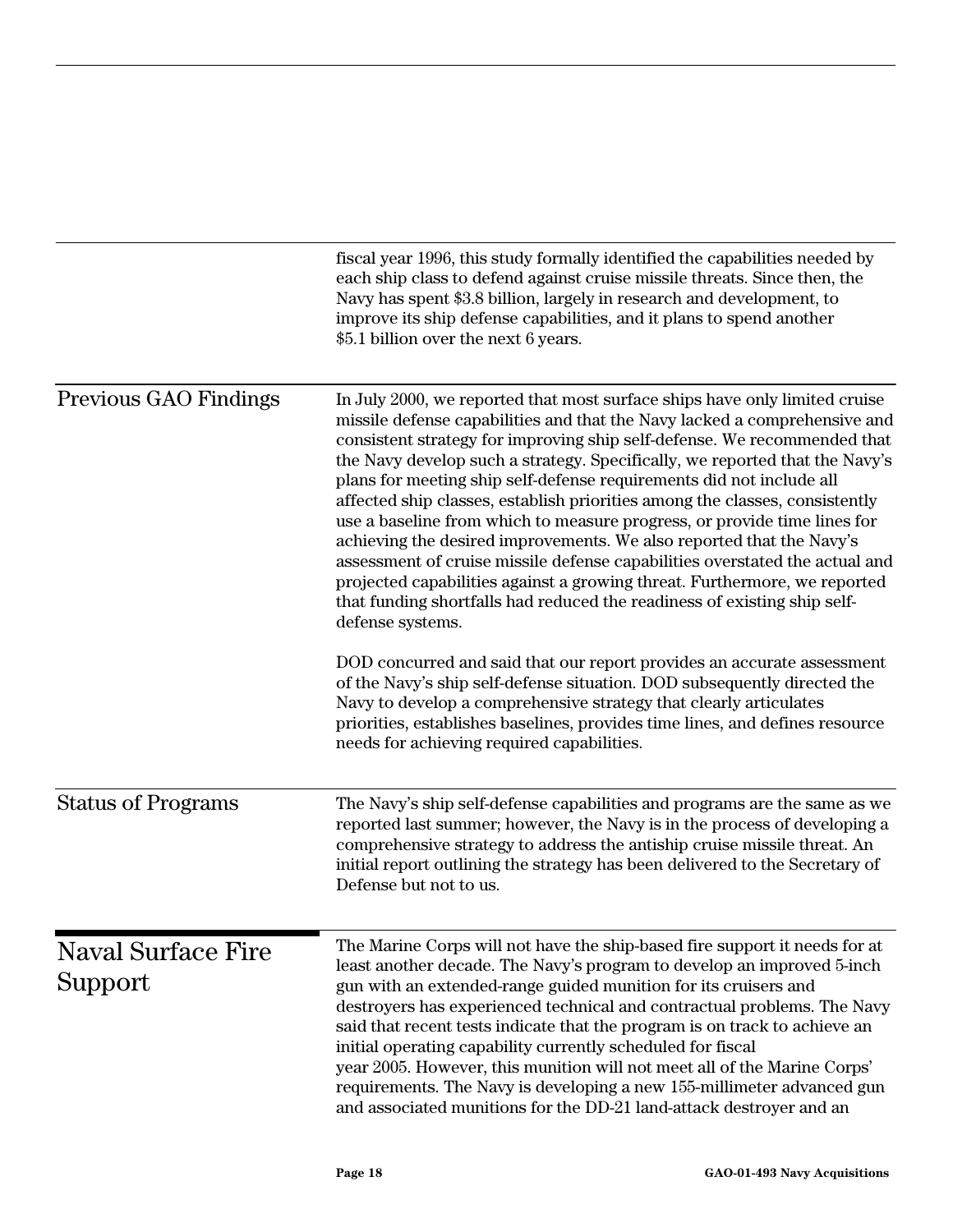|                                      | fiscal year 1996, this study formally identified the capabilities needed by<br>each ship class to defend against cruise missile threats. Since then, the<br>Navy has spent \$3.8 billion, largely in research and development, to<br>improve its ship defense capabilities, and it plans to spend another<br>\$5.1 billion over the next 6 years.                                                                                                                                                                                                                                                                                                                                                                                                                                                                                                                                                                                                                                                                                                                                                                                                                                                    |
|--------------------------------------|------------------------------------------------------------------------------------------------------------------------------------------------------------------------------------------------------------------------------------------------------------------------------------------------------------------------------------------------------------------------------------------------------------------------------------------------------------------------------------------------------------------------------------------------------------------------------------------------------------------------------------------------------------------------------------------------------------------------------------------------------------------------------------------------------------------------------------------------------------------------------------------------------------------------------------------------------------------------------------------------------------------------------------------------------------------------------------------------------------------------------------------------------------------------------------------------------|
| Previous GAO Findings                | In July 2000, we reported that most surface ships have only limited cruise<br>missile defense capabilities and that the Navy lacked a comprehensive and<br>consistent strategy for improving ship self-defense. We recommended that<br>the Navy develop such a strategy. Specifically, we reported that the Navy's<br>plans for meeting ship self-defense requirements did not include all<br>affected ship classes, establish priorities among the classes, consistently<br>use a baseline from which to measure progress, or provide time lines for<br>achieving the desired improvements. We also reported that the Navy's<br>assessment of cruise missile defense capabilities overstated the actual and<br>projected capabilities against a growing threat. Furthermore, we reported<br>that funding shortfalls had reduced the readiness of existing ship self-<br>defense systems.<br>DOD concurred and said that our report provides an accurate assessment<br>of the Navy's ship self-defense situation. DOD subsequently directed the<br>Navy to develop a comprehensive strategy that clearly articulates<br>priorities, establishes baselines, provides time lines, and defines resource |
|                                      | needs for achieving required capabilities.                                                                                                                                                                                                                                                                                                                                                                                                                                                                                                                                                                                                                                                                                                                                                                                                                                                                                                                                                                                                                                                                                                                                                           |
| <b>Status of Programs</b>            | The Navy's ship self-defense capabilities and programs are the same as we<br>reported last summer; however, the Navy is in the process of developing a<br>comprehensive strategy to address the antiship cruise missile threat. An<br>initial report outlining the strategy has been delivered to the Secretary of<br>Defense but not to us.                                                                                                                                                                                                                                                                                                                                                                                                                                                                                                                                                                                                                                                                                                                                                                                                                                                         |
| <b>Naval Surface Fire</b><br>Support | The Marine Corps will not have the ship-based fire support it needs for at<br>least another decade. The Navy's program to develop an improved 5-inch<br>gun with an extended-range guided munition for its cruisers and<br>destroyers has experienced technical and contractual problems. The Navy<br>said that recent tests indicate that the program is on track to achieve an<br>initial operating capability currently scheduled for fiscal<br>year 2005. However, this munition will not meet all of the Marine Corps'<br>requirements. The Navy is developing a new 155-millimeter advanced gun<br>and associated munitions for the DD-21 land-attack destroyer and an                                                                                                                                                                                                                                                                                                                                                                                                                                                                                                                         |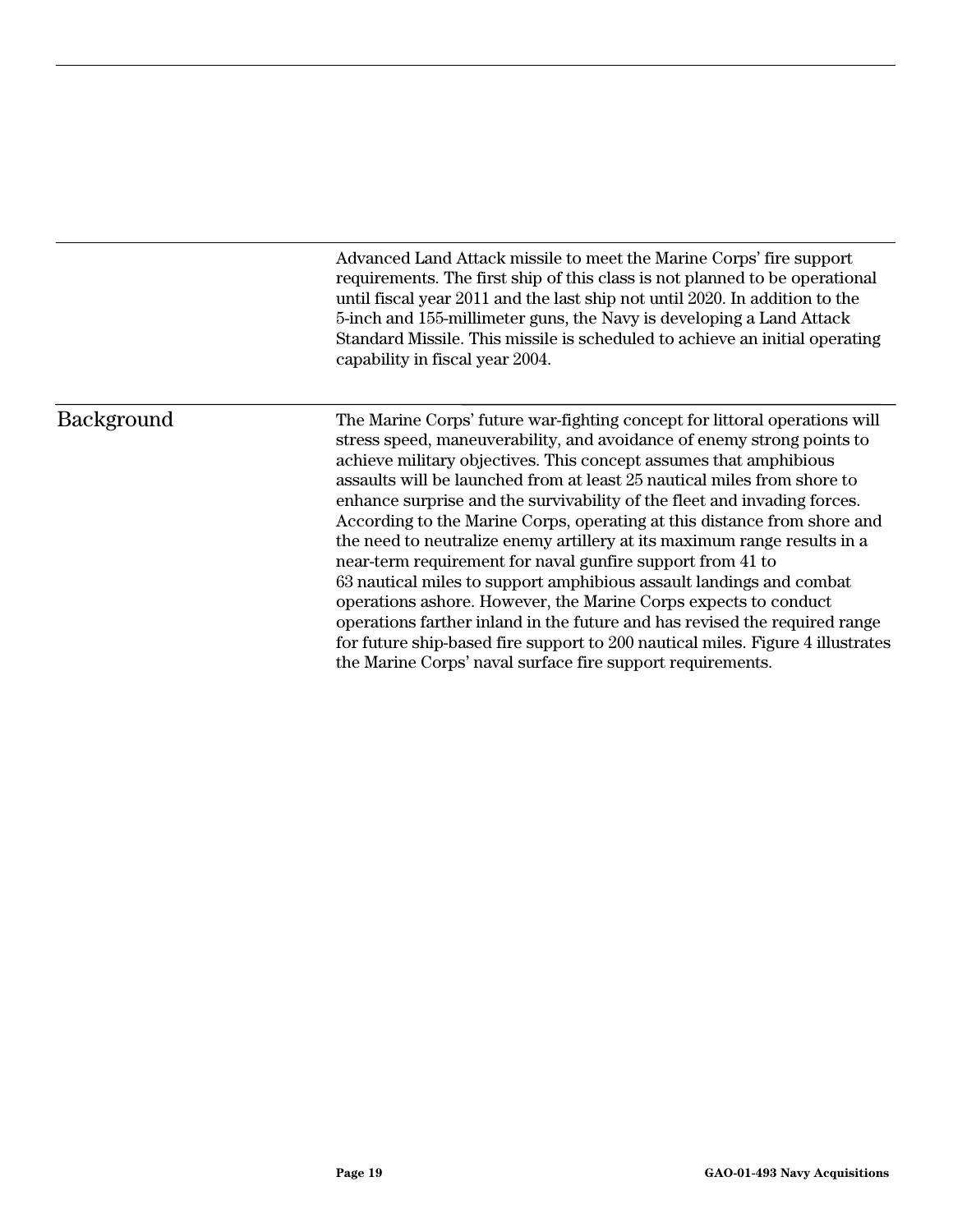Advanced Land Attack missile to meet the Marine Corps' fire support requirements. The first ship of this class is not planned to be operational until fiscal year 2011 and the last ship not until 2020. In addition to the 5-inch and 155-millimeter guns, the Navy is developing a Land Attack Standard Missile. This missile is scheduled to achieve an initial operating capability in fiscal year 2004.

#### Background

The Marine Corps' future war-fighting concept for littoral operations will stress speed, maneuverability, and avoidance of enemy strong points to achieve military objectives. This concept assumes that amphibious assaults will be launched from at least 25 nautical miles from shore to enhance surprise and the survivability of the fleet and invading forces. According to the Marine Corps, operating at this distance from shore and the need to neutralize enemy artillery at its maximum range results in a near-term requirement for naval gunfire support from 41 to 63 nautical miles to support amphibious assault landings and combat operations ashore. However, the Marine Corps expects to conduct operations farther inland in the future and has revised the required range for future ship-based fire support to 200 nautical miles. Figure 4 illustrates the Marine Corps' naval surface fire support requirements.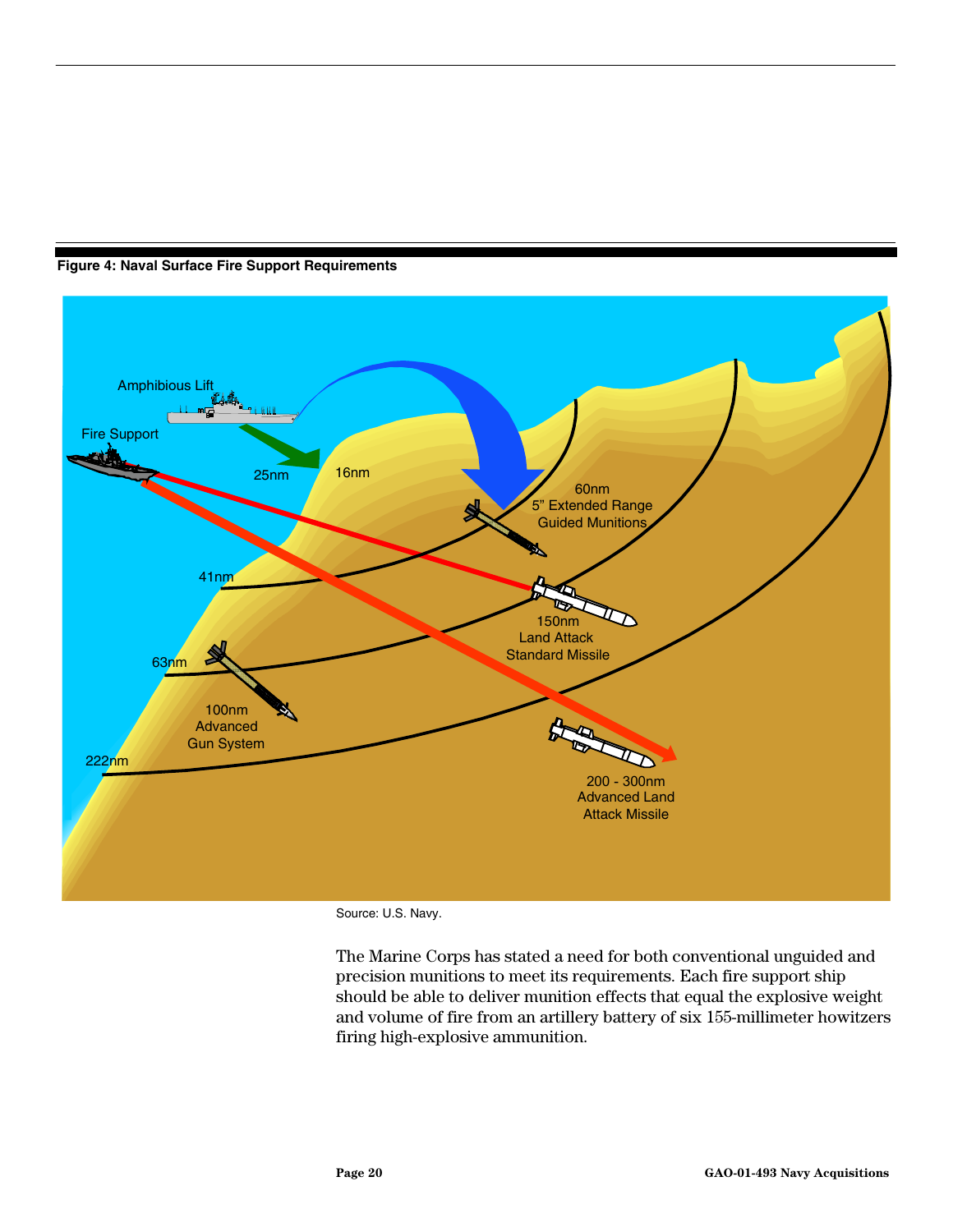<span id="page-21-0"></span>



Source: U.S. Navy.

The Marine Corps has stated a need for both conventional unguided and precision munitions to meet its requirements. Each fire support ship should be able to deliver munition effects that equal the explosive weight and volume of fire from an artillery battery of six 155-millimeter howitzers firing high-explosive ammunition.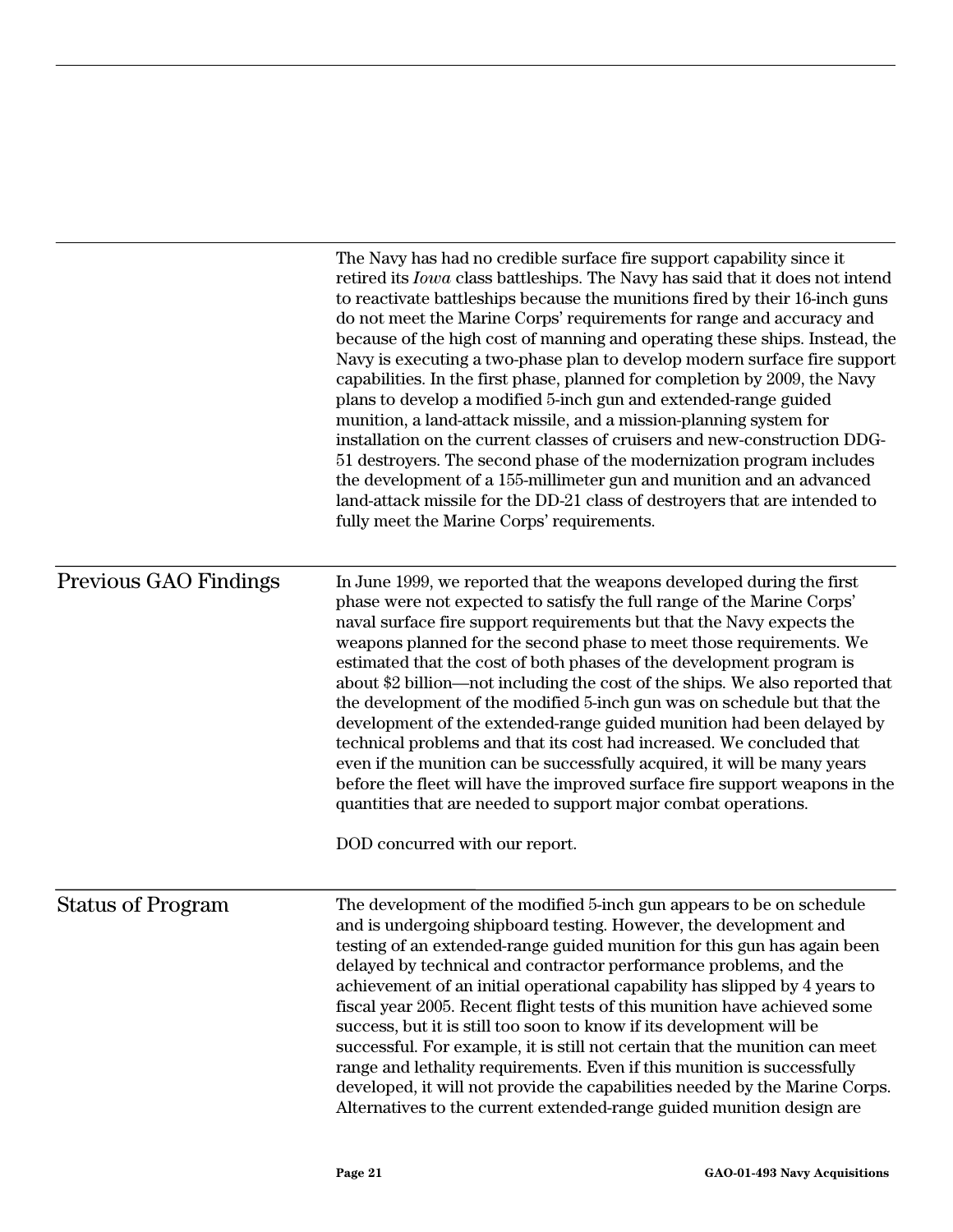|                              | The Navy has had no credible surface fire support capability since it<br>retired its <i>Iowa</i> class battleships. The Navy has said that it does not intend<br>to reactivate battleships because the munitions fired by their 16-inch guns<br>do not meet the Marine Corps' requirements for range and accuracy and<br>because of the high cost of manning and operating these ships. Instead, the<br>Navy is executing a two-phase plan to develop modern surface fire support<br>capabilities. In the first phase, planned for completion by 2009, the Navy<br>plans to develop a modified 5-inch gun and extended-range guided<br>munition, a land-attack missile, and a mission-planning system for<br>installation on the current classes of cruisers and new-construction DDG-<br>51 destroyers. The second phase of the modernization program includes<br>the development of a 155-millimeter gun and munition and an advanced<br>land-attack missile for the DD-21 class of destroyers that are intended to<br>fully meet the Marine Corps' requirements. |
|------------------------------|---------------------------------------------------------------------------------------------------------------------------------------------------------------------------------------------------------------------------------------------------------------------------------------------------------------------------------------------------------------------------------------------------------------------------------------------------------------------------------------------------------------------------------------------------------------------------------------------------------------------------------------------------------------------------------------------------------------------------------------------------------------------------------------------------------------------------------------------------------------------------------------------------------------------------------------------------------------------------------------------------------------------------------------------------------------------|
| <b>Previous GAO Findings</b> | In June 1999, we reported that the weapons developed during the first<br>phase were not expected to satisfy the full range of the Marine Corps'<br>naval surface fire support requirements but that the Navy expects the<br>weapons planned for the second phase to meet those requirements. We<br>estimated that the cost of both phases of the development program is<br>about \$2 billion—not including the cost of the ships. We also reported that<br>the development of the modified 5-inch gun was on schedule but that the<br>development of the extended-range guided munition had been delayed by<br>technical problems and that its cost had increased. We concluded that<br>even if the munition can be successfully acquired, it will be many years<br>before the fleet will have the improved surface fire support weapons in the<br>quantities that are needed to support major combat operations.<br>DOD concurred with our report.                                                                                                                 |
| <b>Status of Program</b>     | The development of the modified 5-inch gun appears to be on schedule<br>and is undergoing shipboard testing. However, the development and<br>testing of an extended-range guided munition for this gun has again been<br>delayed by technical and contractor performance problems, and the<br>achievement of an initial operational capability has slipped by 4 years to<br>fiscal year 2005. Recent flight tests of this munition have achieved some<br>success, but it is still too soon to know if its development will be<br>successful. For example, it is still not certain that the munition can meet<br>range and lethality requirements. Even if this munition is successfully<br>developed, it will not provide the capabilities needed by the Marine Corps.<br>Alternatives to the current extended-range guided munition design are                                                                                                                                                                                                                     |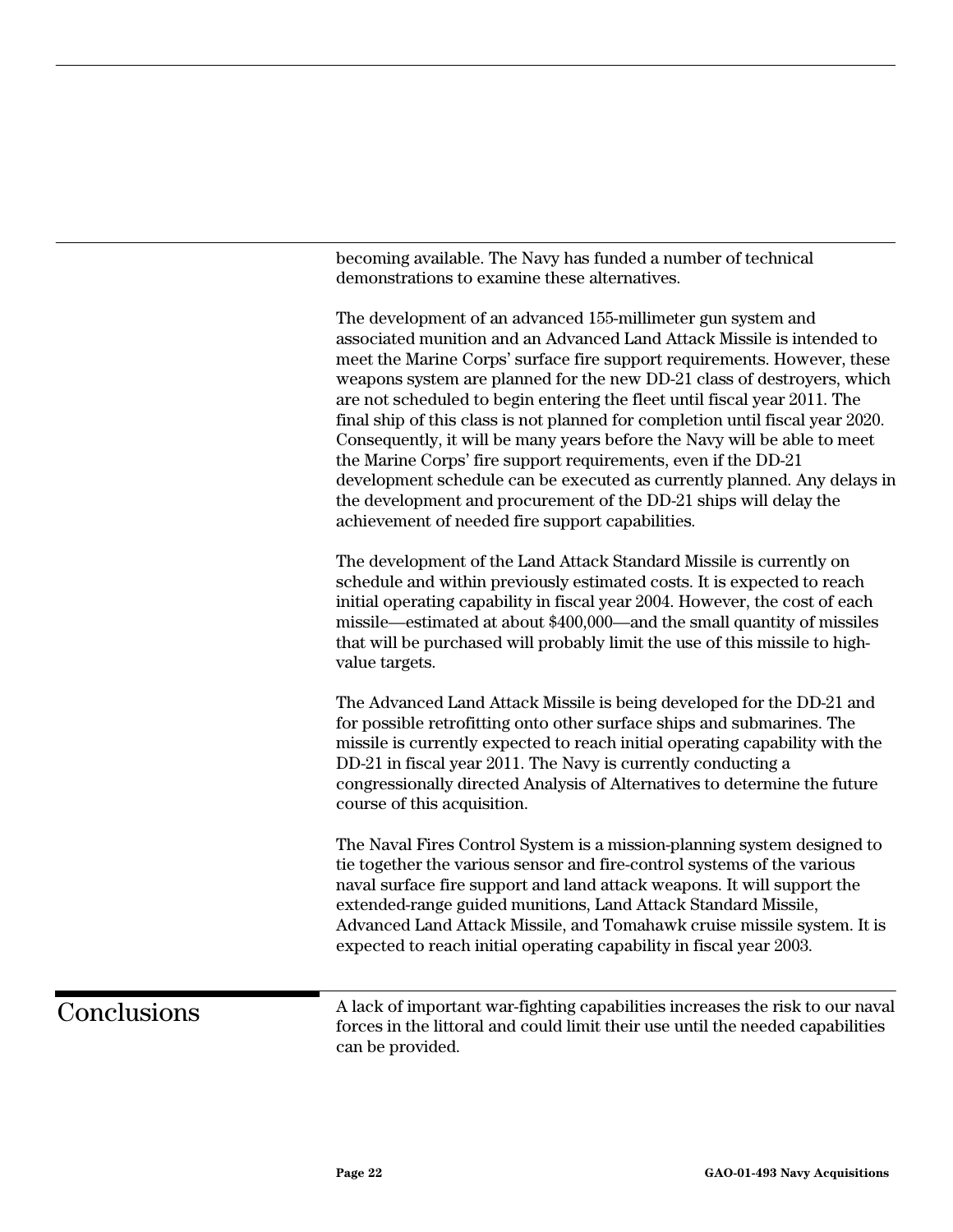becoming available. The Navy has funded a number of technical demonstrations to examine these alternatives.

The development of an advanced 155-millimeter gun system and associated munition and an Advanced Land Attack Missile is intended to meet the Marine Corps' surface fire support requirements. However, these weapons system are planned for the new DD-21 class of destroyers, which are not scheduled to begin entering the fleet until fiscal year 2011. The final ship of this class is not planned for completion until fiscal year 2020. Consequently, it will be many years before the Navy will be able to meet the Marine Corps' fire support requirements, even if the DD-21 development schedule can be executed as currently planned. Any delays in the development and procurement of the DD-21 ships will delay the achievement of needed fire support capabilities.

The development of the Land Attack Standard Missile is currently on schedule and within previously estimated costs. It is expected to reach initial operating capability in fiscal year 2004. However, the cost of each missile—estimated at about \$400,000—and the small quantity of missiles that will be purchased will probably limit the use of this missile to highvalue targets.

The Advanced Land Attack Missile is being developed for the DD-21 and for possible retrofitting onto other surface ships and submarines. The missile is currently expected to reach initial operating capability with the DD-21 in fiscal year 2011. The Navy is currently conducting a congressionally directed Analysis of Alternatives to determine the future course of this acquisition.

The Naval Fires Control System is a mission-planning system designed to tie together the various sensor and fire-control systems of the various naval surface fire support and land attack weapons. It will support the extended-range guided munitions, Land Attack Standard Missile, Advanced Land Attack Missile, and Tomahawk cruise missile system. It is expected to reach initial operating capability in fiscal year 2003.

### **Conclusions**

A lack of important war-fighting capabilities increases the risk to our naval forces in the littoral and could limit their use until the needed capabilities can be provided.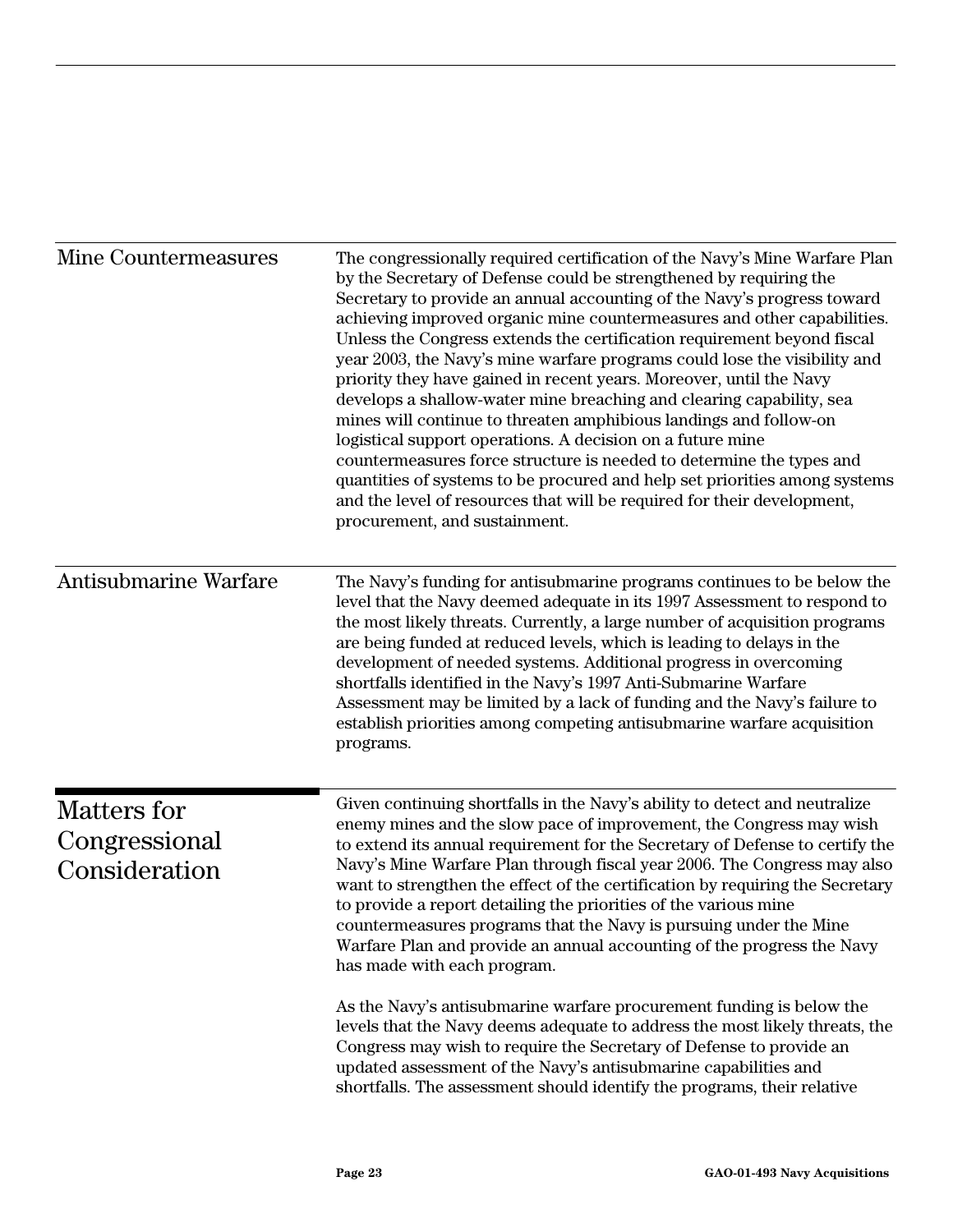| Mine Countermeasures                          | The congressionally required certification of the Navy's Mine Warfare Plan<br>by the Secretary of Defense could be strengthened by requiring the<br>Secretary to provide an annual accounting of the Navy's progress toward<br>achieving improved organic mine countermeasures and other capabilities.<br>Unless the Congress extends the certification requirement beyond fiscal<br>year 2003, the Navy's mine warfare programs could lose the visibility and<br>priority they have gained in recent years. Moreover, until the Navy<br>develops a shallow-water mine breaching and clearing capability, sea<br>mines will continue to threaten amphibious landings and follow-on<br>logistical support operations. A decision on a future mine<br>countermeasures force structure is needed to determine the types and<br>quantities of systems to be procured and help set priorities among systems<br>and the level of resources that will be required for their development,<br>procurement, and sustainment.           |
|-----------------------------------------------|------------------------------------------------------------------------------------------------------------------------------------------------------------------------------------------------------------------------------------------------------------------------------------------------------------------------------------------------------------------------------------------------------------------------------------------------------------------------------------------------------------------------------------------------------------------------------------------------------------------------------------------------------------------------------------------------------------------------------------------------------------------------------------------------------------------------------------------------------------------------------------------------------------------------------------------------------------------------------------------------------------------------------|
| Antisubmarine Warfare                         | The Navy's funding for antisubmarine programs continues to be below the<br>level that the Navy deemed adequate in its 1997 Assessment to respond to<br>the most likely threats. Currently, a large number of acquisition programs<br>are being funded at reduced levels, which is leading to delays in the<br>development of needed systems. Additional progress in overcoming<br>shortfalls identified in the Navy's 1997 Anti-Submarine Warfare<br>Assessment may be limited by a lack of funding and the Navy's failure to<br>establish priorities among competing antisubmarine warfare acquisition<br>programs.                                                                                                                                                                                                                                                                                                                                                                                                         |
| Matters for<br>Congressional<br>Consideration | Given continuing shortfalls in the Navy's ability to detect and neutralize<br>enemy mines and the slow pace of improvement, the Congress may wish<br>to extend its annual requirement for the Secretary of Defense to certify the<br>Navy's Mine Warfare Plan through fiscal year 2006. The Congress may also<br>want to strengthen the effect of the certification by requiring the Secretary<br>to provide a report detailing the priorities of the various mine<br>countermeasures programs that the Navy is pursuing under the Mine<br>Warfare Plan and provide an annual accounting of the progress the Navy<br>has made with each program.<br>As the Navy's antisubmarine warfare procurement funding is below the<br>levels that the Navy deems adequate to address the most likely threats, the<br>Congress may wish to require the Secretary of Defense to provide an<br>updated assessment of the Navy's antisubmarine capabilities and<br>shortfalls. The assessment should identify the programs, their relative |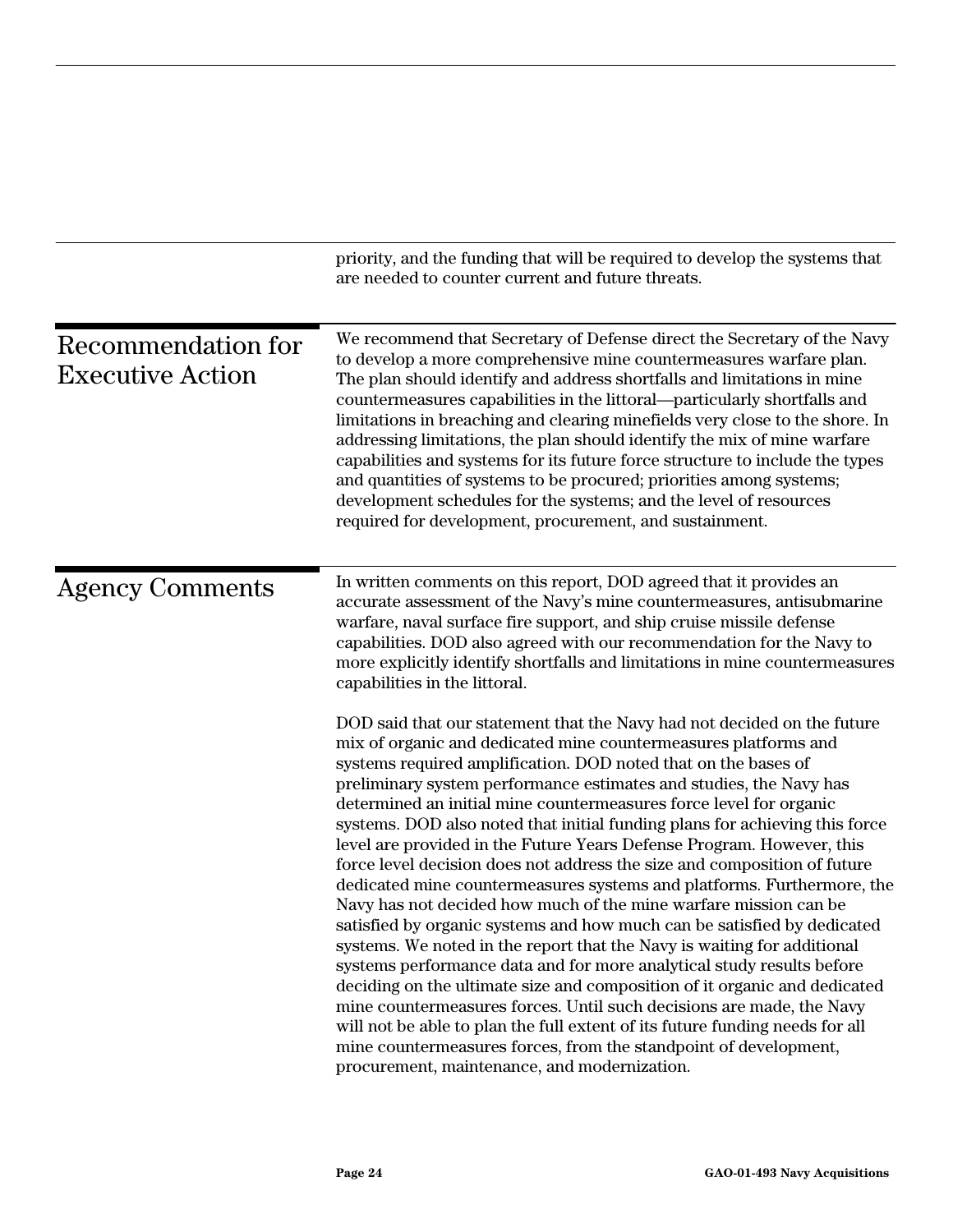|                                               | priority, and the funding that will be required to develop the systems that<br>are needed to counter current and future threats.                                                                                                                                                                                                                                                                                                                                                                                                                                                                                                                                                                                                                                                                                                                                                                                                                                                                                                                                                                                                                                                                                                                                                                                                                                                                                                                                                                                                                                                                                                                                                                                                                   |
|-----------------------------------------------|----------------------------------------------------------------------------------------------------------------------------------------------------------------------------------------------------------------------------------------------------------------------------------------------------------------------------------------------------------------------------------------------------------------------------------------------------------------------------------------------------------------------------------------------------------------------------------------------------------------------------------------------------------------------------------------------------------------------------------------------------------------------------------------------------------------------------------------------------------------------------------------------------------------------------------------------------------------------------------------------------------------------------------------------------------------------------------------------------------------------------------------------------------------------------------------------------------------------------------------------------------------------------------------------------------------------------------------------------------------------------------------------------------------------------------------------------------------------------------------------------------------------------------------------------------------------------------------------------------------------------------------------------------------------------------------------------------------------------------------------------|
| Recommendation for<br><b>Executive Action</b> | We recommend that Secretary of Defense direct the Secretary of the Navy<br>to develop a more comprehensive mine countermeasures warfare plan.<br>The plan should identify and address shortfalls and limitations in mine<br>countermeasures capabilities in the littoral—particularly shortfalls and<br>limitations in breaching and clearing minefields very close to the shore. In<br>addressing limitations, the plan should identify the mix of mine warfare<br>capabilities and systems for its future force structure to include the types<br>and quantities of systems to be procured; priorities among systems;<br>development schedules for the systems; and the level of resources<br>required for development, procurement, and sustainment.                                                                                                                                                                                                                                                                                                                                                                                                                                                                                                                                                                                                                                                                                                                                                                                                                                                                                                                                                                                            |
| <b>Agency Comments</b>                        | In written comments on this report, DOD agreed that it provides an<br>accurate assessment of the Navy's mine countermeasures, antisubmarine<br>warfare, naval surface fire support, and ship cruise missile defense<br>capabilities. DOD also agreed with our recommendation for the Navy to<br>more explicitly identify shortfalls and limitations in mine countermeasures<br>capabilities in the littoral.<br>DOD said that our statement that the Navy had not decided on the future<br>mix of organic and dedicated mine countermeasures platforms and<br>systems required amplification. DOD noted that on the bases of<br>preliminary system performance estimates and studies, the Navy has<br>determined an initial mine countermeasures force level for organic<br>systems. DOD also noted that initial funding plans for achieving this force<br>level are provided in the Future Years Defense Program. However, this<br>force level decision does not address the size and composition of future<br>dedicated mine countermeasures systems and platforms. Furthermore, the<br>Navy has not decided how much of the mine warfare mission can be<br>satisfied by organic systems and how much can be satisfied by dedicated<br>systems. We noted in the report that the Navy is waiting for additional<br>systems performance data and for more analytical study results before<br>deciding on the ultimate size and composition of it organic and dedicated<br>mine countermeasures forces. Until such decisions are made, the Navy<br>will not be able to plan the full extent of its future funding needs for all<br>mine countermeasures forces, from the standpoint of development,<br>procurement, maintenance, and modernization. |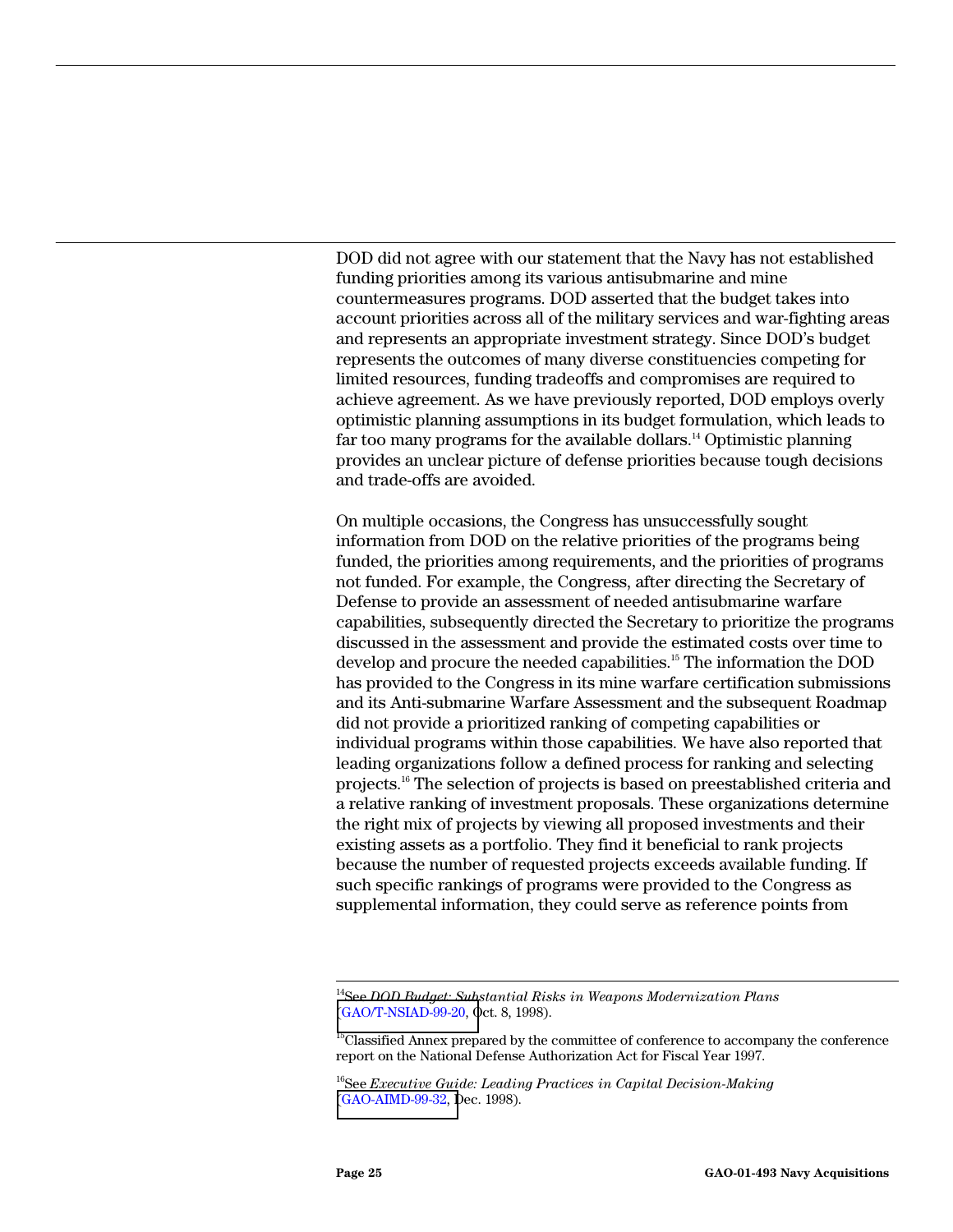DOD did not agree with our statement that the Navy has not established funding priorities among its various antisubmarine and mine countermeasures programs. DOD asserted that the budget takes into account priorities across all of the military services and war-fighting areas and represents an appropriate investment strategy. Since DOD's budget represents the outcomes of many diverse constituencies competing for limited resources, funding tradeoffs and compromises are required to achieve agreement. As we have previously reported, DOD employs overly optimistic planning assumptions in its budget formulation, which leads to far too many programs for the available dollars.<sup>14</sup> Optimistic planning provides an unclear picture of defense priorities because tough decisions and trade-offs are avoided.

On multiple occasions, the Congress has unsuccessfully sought information from DOD on the relative priorities of the programs being funded, the priorities among requirements, and the priorities of programs not funded. For example, the Congress, after directing the Secretary of Defense to provide an assessment of needed antisubmarine warfare capabilities, subsequently directed the Secretary to prioritize the programs discussed in the assessment and provide the estimated costs over time to develop and procure the needed capabilities.<sup>15</sup> The information the DOD has provided to the Congress in its mine warfare certification submissions and its Anti-submarine Warfare Assessment and the subsequent Roadmap did not provide a prioritized ranking of competing capabilities or individual programs within those capabilities. We have also reported that leading organizations follow a defined process for ranking and selecting projects.16 The selection of projects is based on preestablished criteria and a relative ranking of investment proposals. These organizations determine the right mix of projects by viewing all proposed investments and their existing assets as a portfolio. They find it beneficial to rank projects because the number of requested projects exceeds available funding. If such specific rankings of programs were provided to the Congress as supplemental information, they could serve as reference points from

 <sup>14</sup>See *DOD Budget: Substantial Risks in Weapons Modernization Plans* [\(GAO/T-NSIAD-99-20, O](http://www.gao.gov/cgi-bin/getrpt?GAO/NSIAD-99-20)ct. 8, 1998).

<sup>&</sup>lt;sup>15</sup>Classified Annex prepared by the committee of conference to accompany the conference report on the National Defense Authorization Act for Fiscal Year 1997.

<sup>16</sup>See *Executive Guide: Leading Practices in Capital Decision-Making* [\(GAO-AIMD-99-32, D](http://www.gao.gov/cgi-bin/getrpt?GAO/NSIAD-99-32)ec. 1998).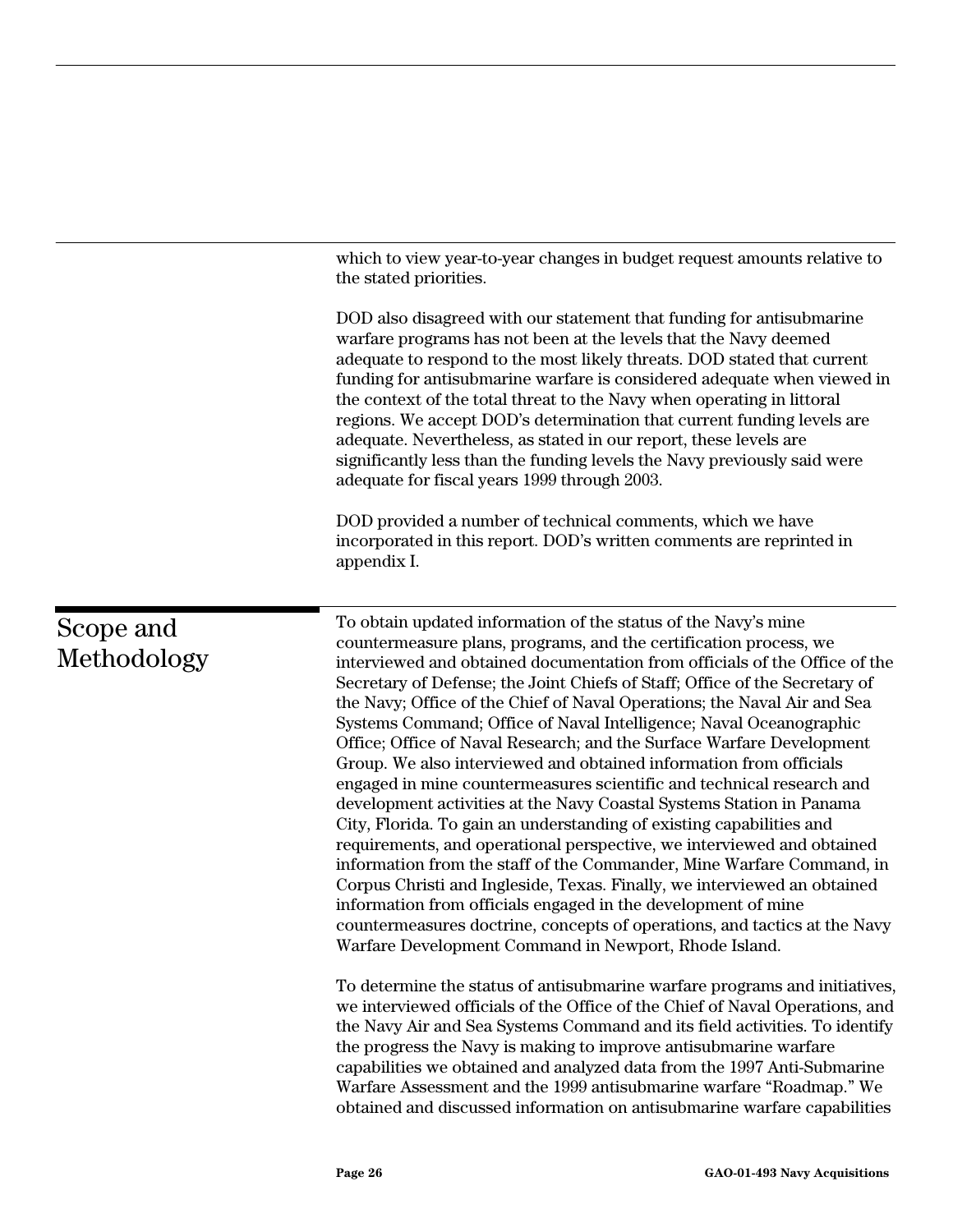which to view year-to-year changes in budget request amounts relative to the stated priorities.

DOD also disagreed with our statement that funding for antisubmarine warfare programs has not been at the levels that the Navy deemed adequate to respond to the most likely threats. DOD stated that current funding for antisubmarine warfare is considered adequate when viewed in the context of the total threat to the Navy when operating in littoral regions. We accept DOD's determination that current funding levels are adequate. Nevertheless, as stated in our report, these levels are significantly less than the funding levels the Navy previously said were adequate for fiscal years 1999 through 2003.

DOD provided a number of technical comments, which we have incorporated in this report. DOD's written comments are reprinted in appendix I.

To obtain updated information of the status of the Navy's mine countermeasure plans, programs, and the certification process, we interviewed and obtained documentation from officials of the Office of the Secretary of Defense; the Joint Chiefs of Staff; Office of the Secretary of the Navy; Office of the Chief of Naval Operations; the Naval Air and Sea Systems Command; Office of Naval Intelligence; Naval Oceanographic Office; Office of Naval Research; and the Surface Warfare Development Group. We also interviewed and obtained information from officials engaged in mine countermeasures scientific and technical research and development activities at the Navy Coastal Systems Station in Panama City, Florida. To gain an understanding of existing capabilities and requirements, and operational perspective, we interviewed and obtained information from the staff of the Commander, Mine Warfare Command, in Corpus Christi and Ingleside, Texas. Finally, we interviewed an obtained information from officials engaged in the development of mine countermeasures doctrine, concepts of operations, and tactics at the Navy Warfare Development Command in Newport, Rhode Island.

To determine the status of antisubmarine warfare programs and initiatives, we interviewed officials of the Office of the Chief of Naval Operations, and the Navy Air and Sea Systems Command and its field activities. To identify the progress the Navy is making to improve antisubmarine warfare capabilities we obtained and analyzed data from the 1997 Anti-Submarine Warfare Assessment and the 1999 antisubmarine warfare "Roadmap." We obtained and discussed information on antisubmarine warfare capabilities

# Scope and Methodology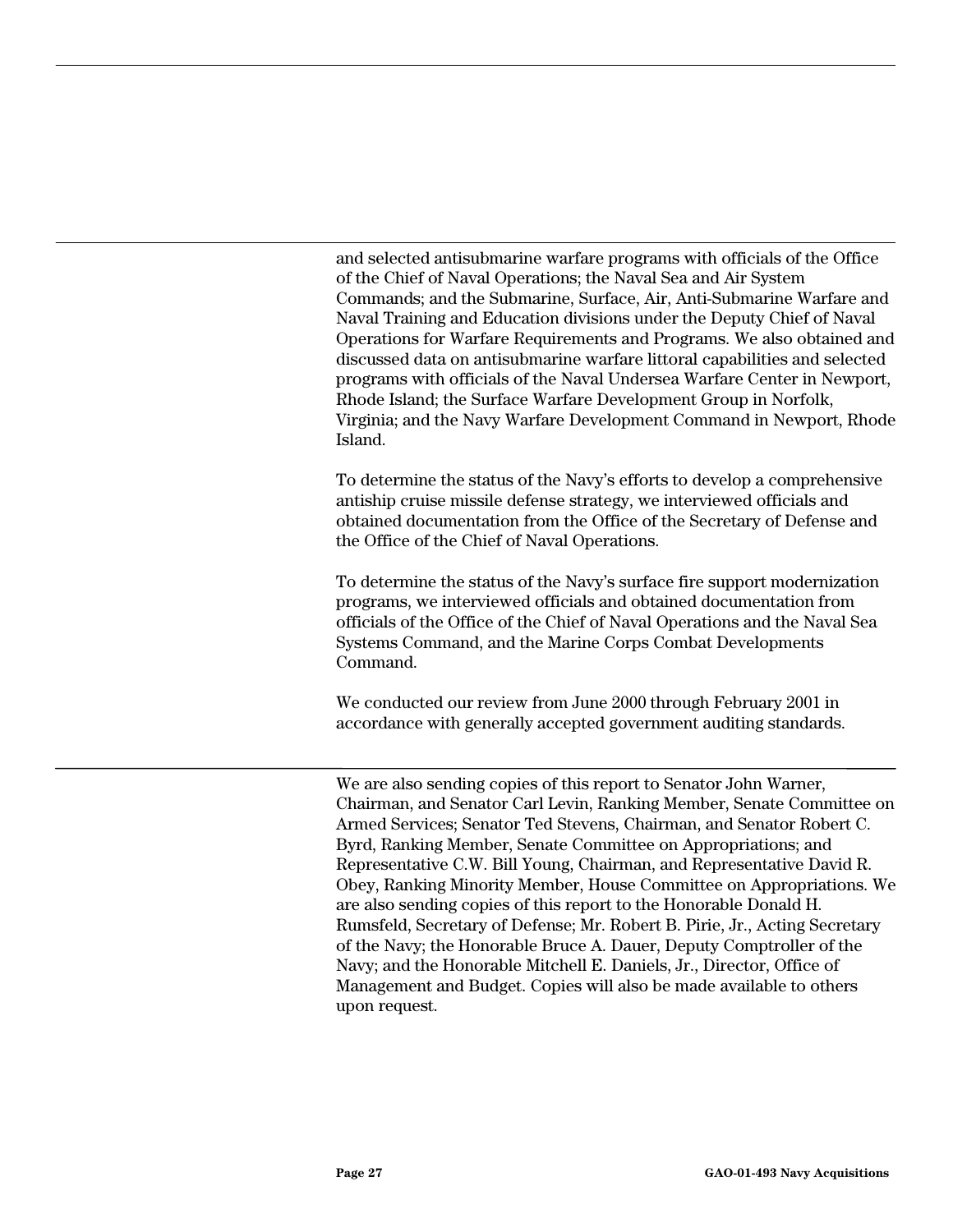and selected antisubmarine warfare programs with officials of the Office of the Chief of Naval Operations; the Naval Sea and Air System Commands; and the Submarine, Surface, Air, Anti-Submarine Warfare and Naval Training and Education divisions under the Deputy Chief of Naval Operations for Warfare Requirements and Programs. We also obtained and discussed data on antisubmarine warfare littoral capabilities and selected programs with officials of the Naval Undersea Warfare Center in Newport, Rhode Island; the Surface Warfare Development Group in Norfolk, Virginia; and the Navy Warfare Development Command in Newport, Rhode Island.

To determine the status of the Navy's efforts to develop a comprehensive antiship cruise missile defense strategy, we interviewed officials and obtained documentation from the Office of the Secretary of Defense and the Office of the Chief of Naval Operations.

To determine the status of the Navy's surface fire support modernization programs, we interviewed officials and obtained documentation from officials of the Office of the Chief of Naval Operations and the Naval Sea Systems Command, and the Marine Corps Combat Developments Command.

We conducted our review from June 2000 through February 2001 in accordance with generally accepted government auditing standards.

We are also sending copies of this report to Senator John Warner, Chairman, and Senator Carl Levin, Ranking Member, Senate Committee on Armed Services; Senator Ted Stevens, Chairman, and Senator Robert C. Byrd, Ranking Member, Senate Committee on Appropriations; and Representative C.W. Bill Young, Chairman, and Representative David R. Obey, Ranking Minority Member, House Committee on Appropriations. We are also sending copies of this report to the Honorable Donald H. Rumsfeld, Secretary of Defense; Mr. Robert B. Pirie, Jr., Acting Secretary of the Navy; the Honorable Bruce A. Dauer, Deputy Comptroller of the Navy; and the Honorable Mitchell E. Daniels, Jr., Director, Office of Management and Budget. Copies will also be made available to others upon request.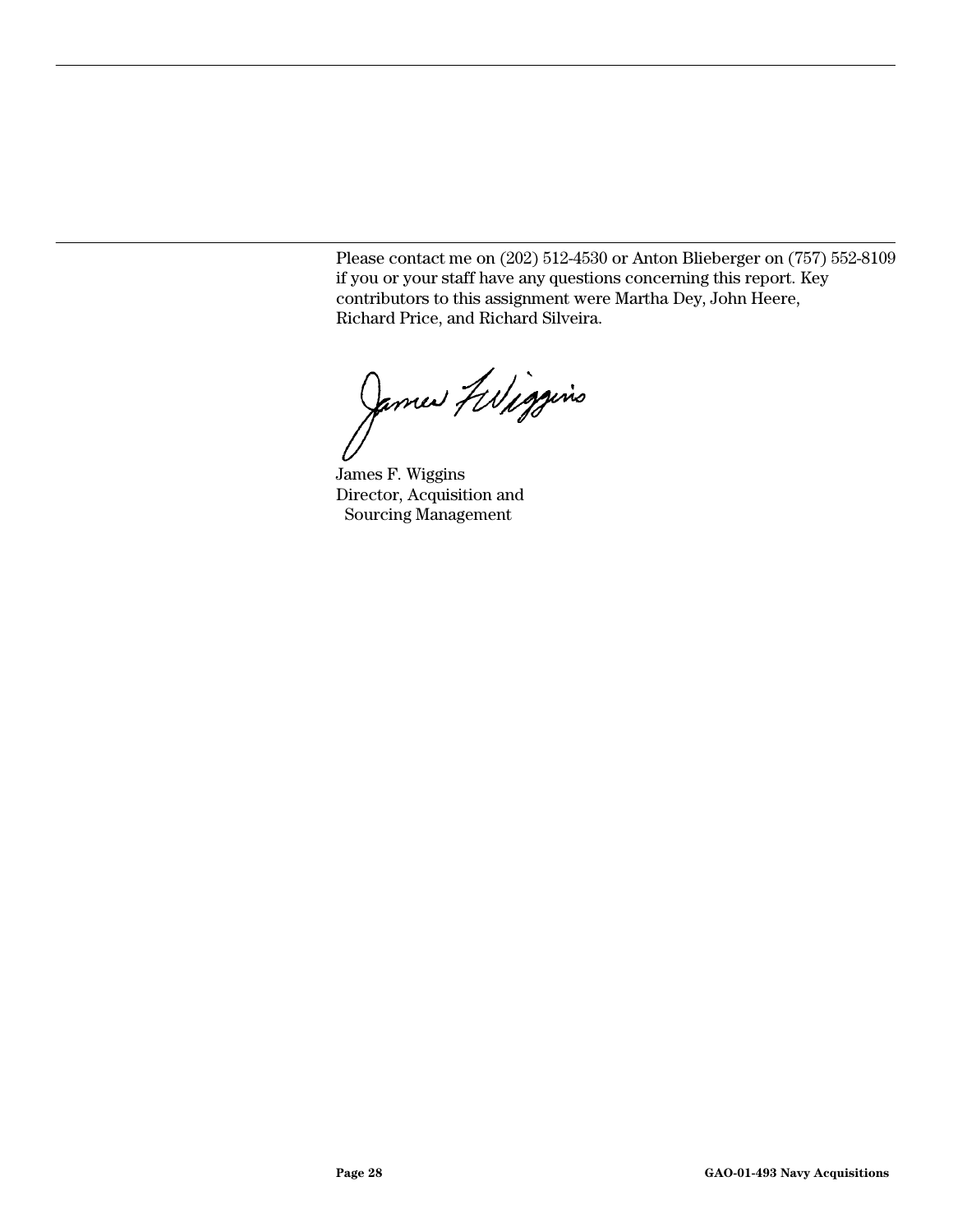Please contact me on (202) 512-4530 or Anton Blieberger on (757) 552-8109 if you or your staff have any questions concerning this report. Key contributors to this assignment were Martha Dey, John Heere, Richard Price, and Richard Silveira.

James Filiggins

James F. Wiggins Director, Acquisition and Sourcing Management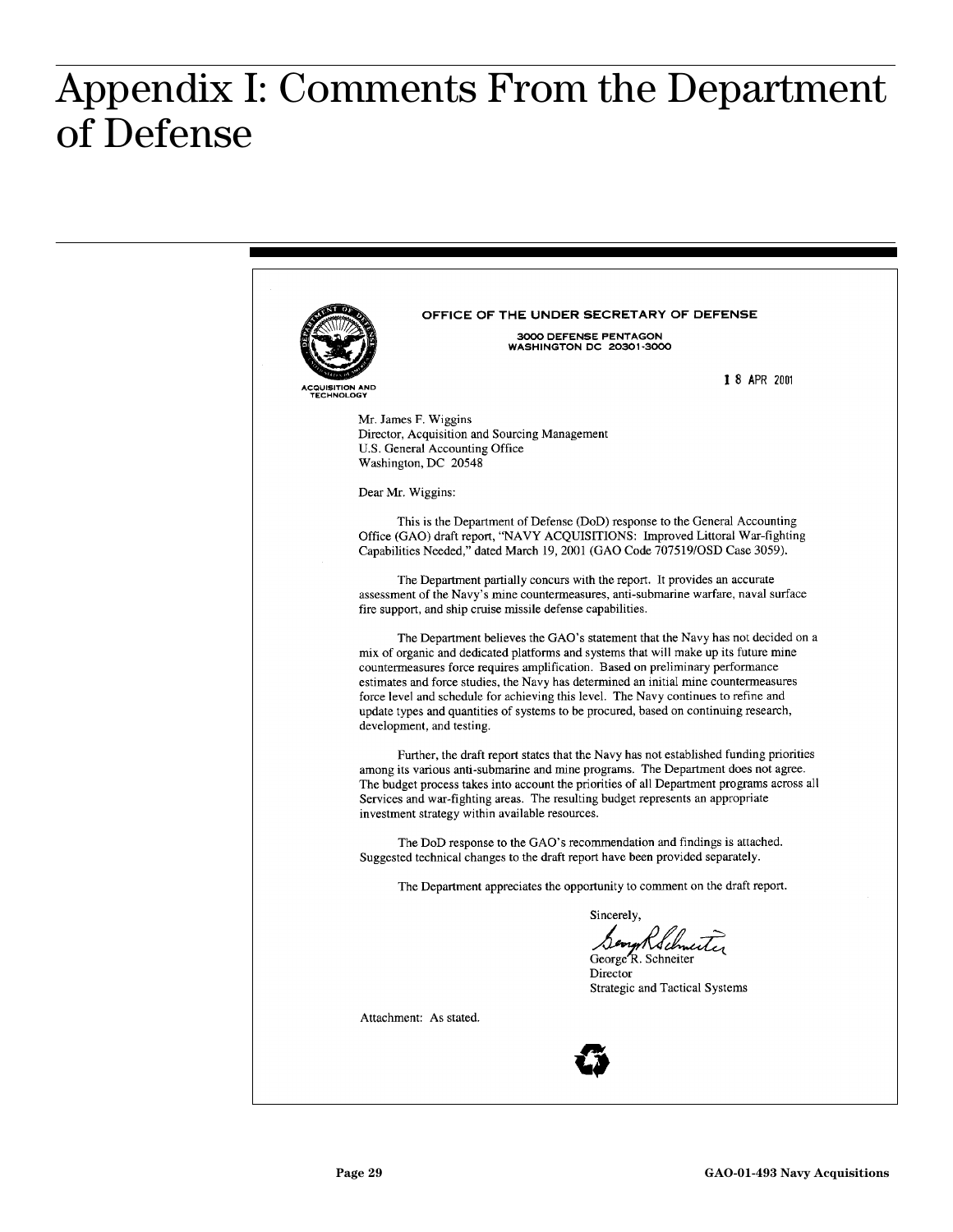#### <span id="page-30-0"></span> $\mathbf{R}$ **of Defense** Appendix I: Comments From the Department of Defense

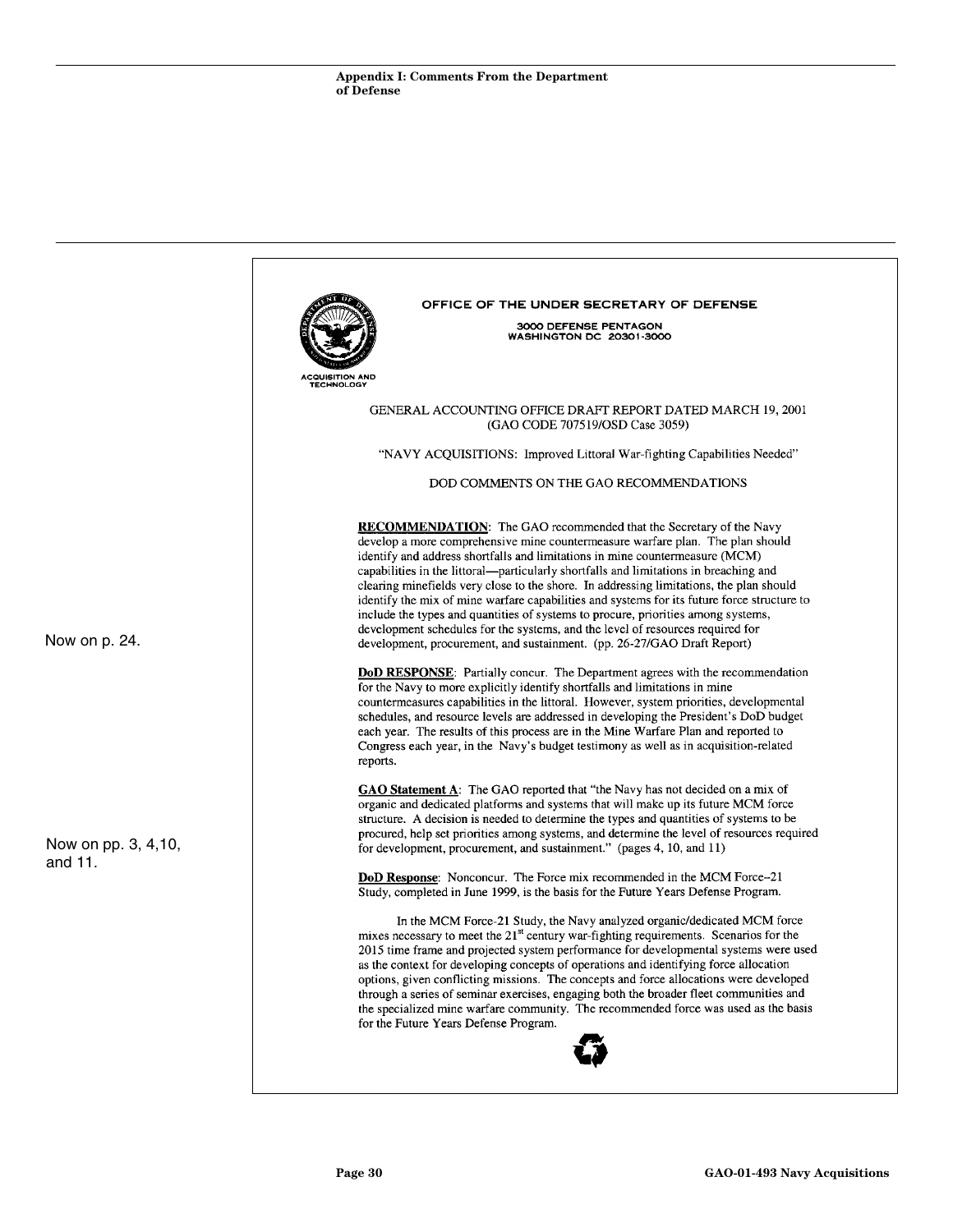|                      | OFFICE OF THE UNDER SECRETARY OF DEFENSE                                                                                                                                                                                                                                                                                                                                                                                                                                                                                                                                                                                                                                 |
|----------------------|--------------------------------------------------------------------------------------------------------------------------------------------------------------------------------------------------------------------------------------------------------------------------------------------------------------------------------------------------------------------------------------------------------------------------------------------------------------------------------------------------------------------------------------------------------------------------------------------------------------------------------------------------------------------------|
|                      | 3000 DEFENSE PENTAGON<br>WASHINGTON DC 20301-3000                                                                                                                                                                                                                                                                                                                                                                                                                                                                                                                                                                                                                        |
|                      |                                                                                                                                                                                                                                                                                                                                                                                                                                                                                                                                                                                                                                                                          |
|                      | ACQUISITION AND<br><b>TECHNOLOGY</b>                                                                                                                                                                                                                                                                                                                                                                                                                                                                                                                                                                                                                                     |
|                      | GENERAL ACCOUNTING OFFICE DRAFT REPORT DATED MARCH 19, 2001                                                                                                                                                                                                                                                                                                                                                                                                                                                                                                                                                                                                              |
|                      | (GAO CODE 707519/OSD Case 3059)                                                                                                                                                                                                                                                                                                                                                                                                                                                                                                                                                                                                                                          |
|                      | "NAVY ACQUISITIONS: Improved Littoral War-fighting Capabilities Needed"                                                                                                                                                                                                                                                                                                                                                                                                                                                                                                                                                                                                  |
|                      | DOD COMMENTS ON THE GAO RECOMMENDATIONS                                                                                                                                                                                                                                                                                                                                                                                                                                                                                                                                                                                                                                  |
|                      | <b>RECOMMENDATION:</b> The GAO recommended that the Secretary of the Navy                                                                                                                                                                                                                                                                                                                                                                                                                                                                                                                                                                                                |
|                      | develop a more comprehensive mine countermeasure warfare plan. The plan should<br>identify and address shortfalls and limitations in mine countermeasure (MCM)                                                                                                                                                                                                                                                                                                                                                                                                                                                                                                           |
|                      | capabilities in the littoral—particularly shortfalls and limitations in breaching and                                                                                                                                                                                                                                                                                                                                                                                                                                                                                                                                                                                    |
|                      | clearing minefields very close to the shore. In addressing limitations, the plan should                                                                                                                                                                                                                                                                                                                                                                                                                                                                                                                                                                                  |
|                      | identify the mix of mine warfare capabilities and systems for its future force structure to<br>include the types and quantities of systems to procure, priorities among systems,                                                                                                                                                                                                                                                                                                                                                                                                                                                                                         |
|                      | development schedules for the systems, and the level of resources required for                                                                                                                                                                                                                                                                                                                                                                                                                                                                                                                                                                                           |
| Now on p. 24.        | development, procurement, and sustainment. (pp. 26-27/GAO Draft Report)                                                                                                                                                                                                                                                                                                                                                                                                                                                                                                                                                                                                  |
|                      | <b>DoD RESPONSE:</b> Partially concur. The Department agrees with the recommendation<br>for the Navy to more explicitly identify shortfalls and limitations in mine<br>countermeasures capabilities in the littoral. However, system priorities, developmental<br>schedules, and resource levels are addressed in developing the President's DoD budget<br>each year. The results of this process are in the Mine Warfare Plan and reported to<br>Congress each year, in the Navy's budget testimony as well as in acquisition-related<br>reports.                                                                                                                       |
|                      | <b>GAO Statement A:</b> The GAO reported that "the Navy has not decided on a mix of<br>organic and dedicated platforms and systems that will make up its future MCM force<br>structure. A decision is needed to determine the types and quantities of systems to be                                                                                                                                                                                                                                                                                                                                                                                                      |
| Now on pp. 3, 4, 10, | procured, help set priorities among systems, and determine the level of resources required<br>for development, procurement, and sustainment." (pages 4, 10, and 11)                                                                                                                                                                                                                                                                                                                                                                                                                                                                                                      |
| and 11.              | <b>DoD Response:</b> Nonconcur. The Force mix recommended in the MCM Force-21<br>Study, completed in June 1999, is the basis for the Future Years Defense Program.                                                                                                                                                                                                                                                                                                                                                                                                                                                                                                       |
|                      | In the MCM Force-21 Study, the Navy analyzed organic/dedicated MCM force<br>mixes necessary to meet the $21st$ century war-fighting requirements. Scenarios for the<br>2015 time frame and projected system performance for developmental systems were used<br>as the context for developing concepts of operations and identifying force allocation<br>options, given conflicting missions. The concepts and force allocations were developed<br>through a series of seminar exercises, engaging both the broader fleet communities and<br>the specialized mine warfare community. The recommended force was used as the basis<br>for the Future Years Defense Program. |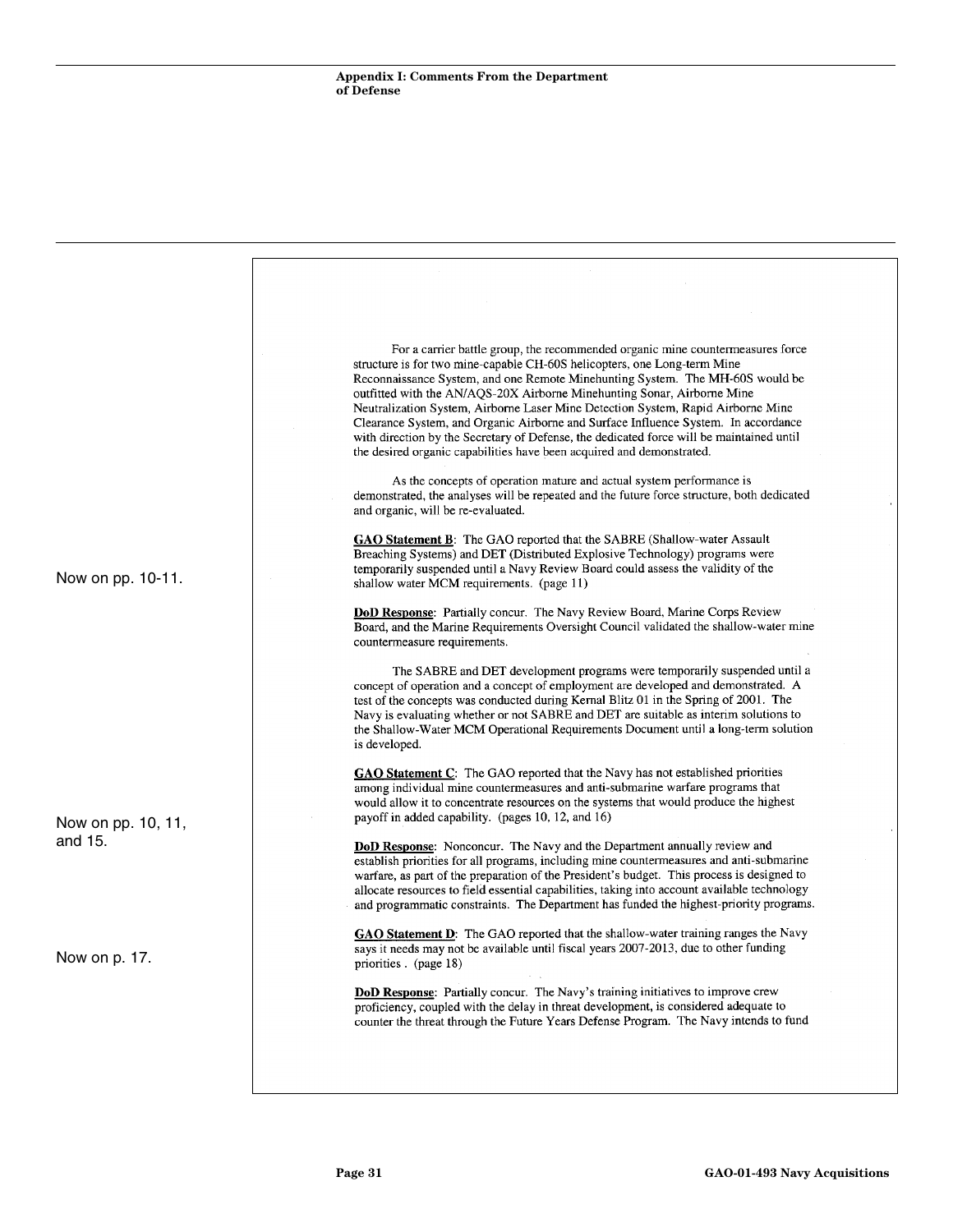|                               | For a carrier battle group, the recommended organic mine countermeasures force<br>structure is for two mine-capable CH-60S helicopters, one Long-term Mine<br>Reconnaissance System, and one Remote Minehunting System. The MH-60S would be<br>outfitted with the AN/AQS-20X Airborne Minehunting Sonar, Airborne Mine<br>Neutralization System, Airborne Laser Mine Detection System, Rapid Airborne Mine<br>Clearance System, and Organic Airborne and Surface Influence System. In accordance<br>with direction by the Secretary of Defense, the dedicated force will be maintained until<br>the desired organic capabilities have been acquired and demonstrated.<br>As the concepts of operation mature and actual system performance is<br>demonstrated, the analyses will be repeated and the future force structure, both dedicated<br>and organic, will be re-evaluated. |
|-------------------------------|-----------------------------------------------------------------------------------------------------------------------------------------------------------------------------------------------------------------------------------------------------------------------------------------------------------------------------------------------------------------------------------------------------------------------------------------------------------------------------------------------------------------------------------------------------------------------------------------------------------------------------------------------------------------------------------------------------------------------------------------------------------------------------------------------------------------------------------------------------------------------------------|
| Now on pp. 10-11.             | <b>GAO Statement B:</b> The GAO reported that the SABRE (Shallow-water Assault<br>Breaching Systems) and DET (Distributed Explosive Technology) programs were<br>temporarily suspended until a Navy Review Board could assess the validity of the<br>shallow water MCM requirements. (page 11)                                                                                                                                                                                                                                                                                                                                                                                                                                                                                                                                                                                    |
|                               | DoD Response: Partially concur. The Navy Review Board, Marine Corps Review<br>Board, and the Marine Requirements Oversight Council validated the shallow-water mine<br>countermeasure requirements.                                                                                                                                                                                                                                                                                                                                                                                                                                                                                                                                                                                                                                                                               |
|                               | The SABRE and DET development programs were temporarily suspended until a<br>concept of operation and a concept of employment are developed and demonstrated. A<br>test of the concepts was conducted during Kernal Blitz 01 in the Spring of 2001. The<br>Navy is evaluating whether or not SABRE and DET are suitable as interim solutions to<br>the Shallow-Water MCM Operational Requirements Document until a long-term solution<br>is developed.                                                                                                                                                                                                                                                                                                                                                                                                                            |
| Now on pp. 10, 11,<br>and 15. | <b>GAO Statement C:</b> The GAO reported that the Navy has not established priorities<br>among individual mine countermeasures and anti-submarine warfare programs that<br>would allow it to concentrate resources on the systems that would produce the highest<br>payoff in added capability. (pages 10, 12, and 16)                                                                                                                                                                                                                                                                                                                                                                                                                                                                                                                                                            |
|                               | <b>DoD Response:</b> Nonconcur. The Navy and the Department annually review and<br>establish priorities for all programs, including mine countermeasures and anti-submarine<br>warfare, as part of the preparation of the President's budget. This process is designed to<br>allocate resources to field essential capabilities, taking into account available technology<br>and programmatic constraints. The Department has funded the highest-priority programs.                                                                                                                                                                                                                                                                                                                                                                                                               |
| Now on p. 17.                 | GAO Statement D: The GAO reported that the shallow-water training ranges the Navy<br>says it needs may not be available until fiscal years 2007-2013, due to other funding<br>priorities. (page 18)                                                                                                                                                                                                                                                                                                                                                                                                                                                                                                                                                                                                                                                                               |
|                               | <b>DoD Response:</b> Partially concur. The Navy's training initiatives to improve crew<br>proficiency, coupled with the delay in threat development, is considered adequate to<br>counter the threat through the Future Years Defense Program. The Navy intends to fund                                                                                                                                                                                                                                                                                                                                                                                                                                                                                                                                                                                                           |
|                               |                                                                                                                                                                                                                                                                                                                                                                                                                                                                                                                                                                                                                                                                                                                                                                                                                                                                                   |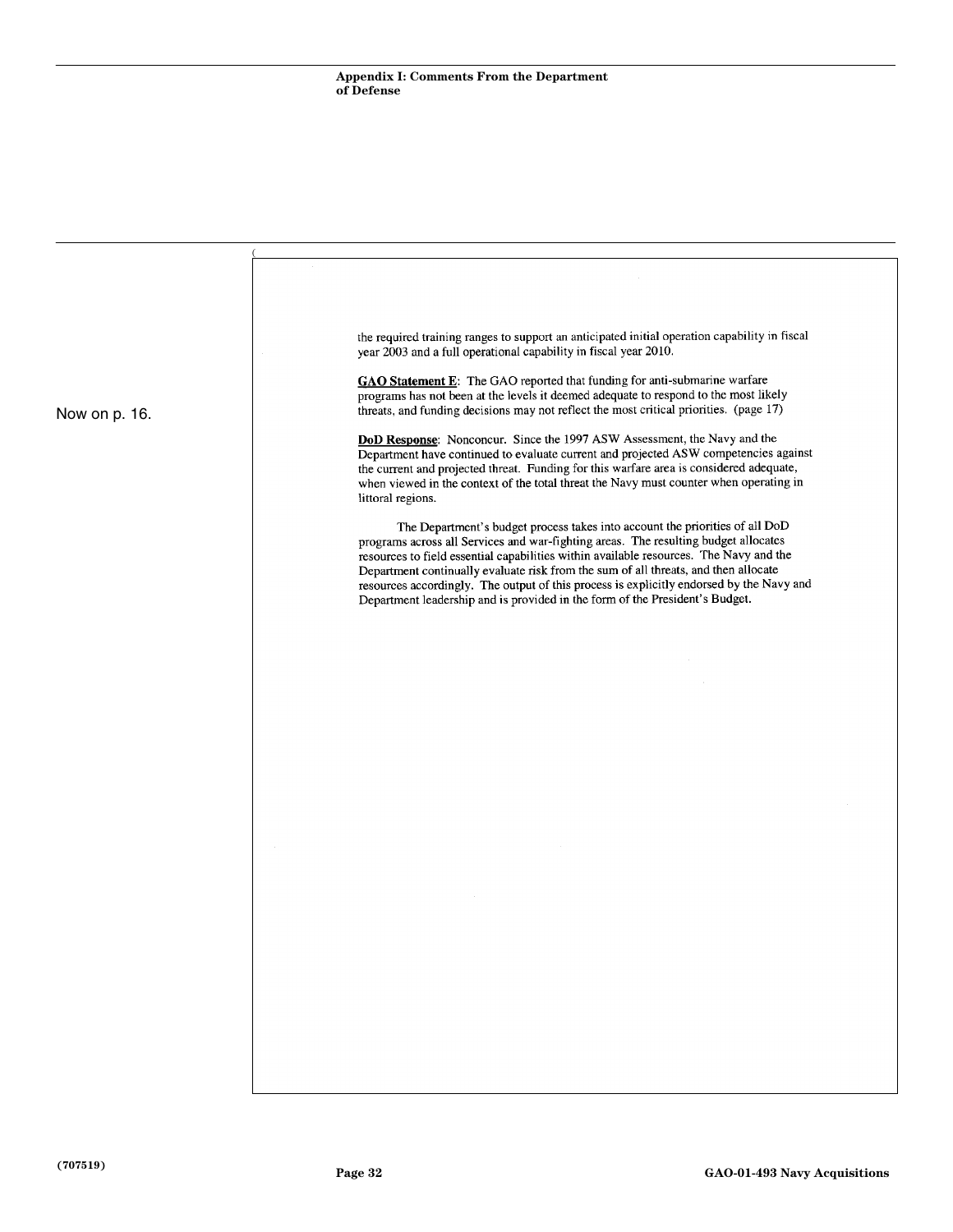